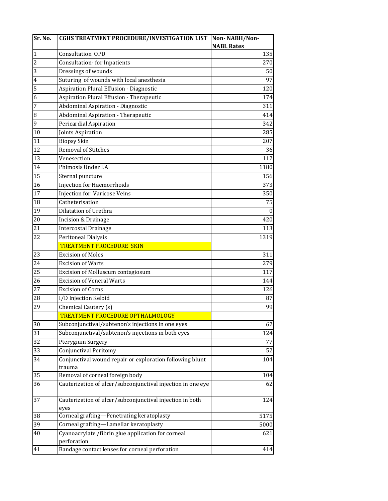| Sr. No.         | <b>CGHS TREATMENT PROCEDURE/INVESTIGATION LIST</b>          | Non-NABH/Non-     |
|-----------------|-------------------------------------------------------------|-------------------|
|                 |                                                             | <b>NABL Rates</b> |
| $\mathbf{1}$    | <b>Consultation OPD</b>                                     | 135               |
| $\sqrt{2}$      | <b>Consultation-for Inpatients</b>                          | 270               |
| 3               | Dressings of wounds                                         | 50                |
| $\overline{4}$  | Suturing of wounds with local anesthesia                    | 97                |
| $\overline{5}$  | Aspiration Plural Effusion - Diagnostic                     | 120               |
| 6               | Aspiration Plural Effusion - Therapeutic                    | 174               |
| 7               | Abdominal Aspiration - Diagnostic                           | 311               |
| $\, 8$          | Abdominal Aspiration - Therapeutic                          | 414               |
| 9               | Pericardial Aspiration                                      | 342               |
| 10              | Joints Aspiration                                           | 285               |
| 11              | <b>Biopsy Skin</b>                                          | 207               |
| $\overline{12}$ | <b>Removal of Stitches</b>                                  | 36                |
| 13              | Venesection                                                 | 112               |
| 14              | Phimosis Under LA                                           | 1180              |
| 15              | Sternal puncture                                            | 156               |
| 16              | <b>Injection for Haemorrhoids</b>                           | 373               |
| $\overline{17}$ | <b>Injection for Varicose Veins</b>                         | 350               |
| 18              | Catheterisation                                             | 75                |
| 19              | Dilatation of Urethra                                       | $\mathbf{0}$      |
| 20              | Incision & Drainage                                         | 420               |
| 21              | <b>Intercostal Drainage</b>                                 | 113               |
| 22              | Peritoneal Dialysis                                         | 1319              |
|                 | <b>TREATMENT PROCEDURE SKIN</b>                             |                   |
| 23              | <b>Excision of Moles</b>                                    | 311               |
| 24              | <b>Excision of Warts</b>                                    | 279               |
| 25              | Excision of Molluscum contagiosum                           | 117               |
| 26              | <b>Excision of Veneral Warts</b>                            | 144               |
| 27              | <b>Excision of Corns</b>                                    | 126               |
| 28              | I/D Injection Keloid                                        |                   |
| 29              |                                                             | 87<br>99          |
|                 | Chemical Cautery (s)<br>TREATMENT PROCEDURE OPTHALMOLOGY    |                   |
| 30              | Subconjunctival/subtenon's injections in one eyes           | 62                |
| 31              | Subconjunctival/subtenon's injections in both eyes          | 124               |
|                 |                                                             |                   |
| 32              | Pterygium Surgery                                           | 77                |
| 33              | <b>Conjunctival Peritomy</b>                                | 52                |
| 34              | Conjunctival wound repair or exploration following blunt    | 104               |
| 35              | trauma<br>Removal of corneal foreign body                   | 104               |
| 36              | Cauterization of ulcer/subconjunctival injection in one eye | 62                |
|                 |                                                             |                   |
| 37              | Cauterization of ulcer/subconjunctival injection in both    | 124               |
|                 | eyes                                                        |                   |
| 38              | Corneal grafting-Penetrating keratoplasty                   | 5175              |
| 39              | Corneal grafting-Lamellar keratoplasty                      | 5000              |
| 40              | Cyanoacrylate / fibrin glue application for corneal         | 621               |
|                 | perforation                                                 |                   |
| 41              | Bandage contact lenses for corneal perforation              | 414               |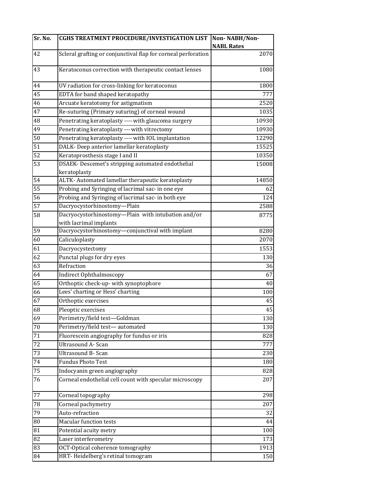| Sr. No.         | <b>CGHS TREATMENT PROCEDURE/INVESTIGATION LIST</b>            | Non-NABH/Non-     |
|-----------------|---------------------------------------------------------------|-------------------|
|                 |                                                               | <b>NABL Rates</b> |
| 42              | Scleral grafting or conjunctival flap for corneal perforation | 2070              |
| 43              | Keratoconus correction with therapeutic contact lenses        | 1080              |
| 44              | UV radiation for cross-linking for keratoconus                | 1800              |
| 45              | EDTA for band shaped keratopathy                              | 777               |
| 46              | Arcuate keratotomy for astigmatism                            | 2520              |
| 47              | Re-suturing (Primary suturing) of corneal wound               | 1035              |
| 48              | Penetrating keratoplasty ---- with glaucoma surgery           | 10930             |
| 49              | Penetrating keratoplasty --- with vitrectomy                  | 10930             |
| 50              | Penetrating keratoplasty ---- with IOL implantation           | 12290             |
| $\overline{51}$ | DALK- Deep anterior lamellar keratoplasty                     | 15525             |
| 52              | Keratoprosthesis stage I and II                               | 10350             |
| 53              | DSAEK-Descemet's stripping automated endothelial              | 15008             |
|                 | keratoplasty                                                  |                   |
| 54              | ALTK- Automated lamellar therapeutic keratoplasty             | 14850             |
| 55              | Probing and Syringing of lacrimal sac- in one eye             | 62                |
| 56              | Probing and Syringing of lacrimal sac- in both eye            | 124               |
| 57              | Dacryocystorhinostomy-Plain                                   | 2588              |
| 58              | Dacryocystorhinostomy-Plain with intubation and/or            | 8775              |
|                 | with lacrimal implants                                        |                   |
| 59              | Dacryocystorhinostomy-conjunctival with implant               | 8280              |
| $\overline{60}$ | Caliculoplasty                                                | 2070              |
| $\overline{61}$ | Dacryocystectomy                                              | 1553              |
| 62              | Punctal plugs for dry eyes                                    | 130               |
| 63              | Refraction                                                    | 36                |
| 64              | Indirect Ophthalmoscopy                                       | 67                |
| 65              | Orthoptic check-up- with synoptophore                         | 40                |
| 66              | Lees' charting or Hess' charting                              | 100               |
| 67              | Orthoptic exercises                                           | 45                |
| 68              | Pleoptic exercises                                            | 45                |
| 69              | Perimetry/field test-Goldman                                  | 130               |
| 70              | Perimetry/field test-automated                                | 130               |
| $\overline{71}$ | Fluorescein angiography for fundus or iris                    | 828               |
| $\overline{72}$ | Ultrasound A- Scan                                            | 777               |
| 73              | Ultrasound B- Scan                                            | 230               |
| 74              | <b>Fundus Photo Test</b>                                      | 180               |
| 75              | Indocyanin green angiography                                  | 828               |
| 76              | Corneal endothelial cell count with specular microscopy       | 207               |
| $77\,$          | Corneal topography                                            | 298               |
| 78              | Corneal pachymetry                                            | 207               |
| 79              | Auto-refraction                                               | 32                |
| ${\bf 80}$      | <b>Macular function tests</b>                                 | 44                |
| 81              | Potential acuity metry                                        | 100               |
| 82              | Laser interferometry                                          | 173               |
| 83              | OCT-Optical coherence tomography                              | 1913              |
| 84              | HRT-Heidelberg's retinal tomogram                             | 150               |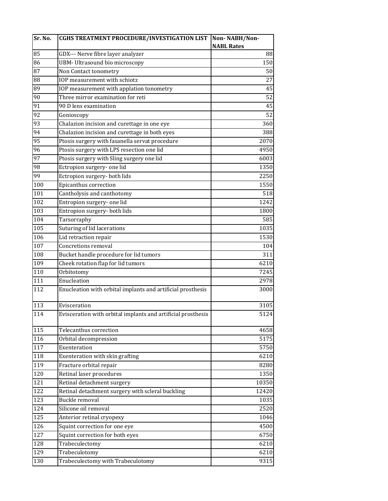| Sr. No. | <b>CGHS TREATMENT PROCEDURE/INVESTIGATION LIST</b>           | Non-NABH/Non-     |
|---------|--------------------------------------------------------------|-------------------|
|         |                                                              | <b>NABL Rates</b> |
| 85      | GDX--- Nerve fibre layer analyzer                            | 88                |
| 86      | UBM- Ultrasound bio microscopy                               | 150               |
| 87      | Non Contact tonometry                                        | 50                |
| 88      | IOP measurement with schiotz                                 | 27                |
| 89      | IOP measurement with applation tonometry                     | 45                |
| 90      | Three mirror examination for reti                            | $\overline{52}$   |
| 91      | 90 D lens examination                                        | 45                |
| 92      | Gonioscopy                                                   | 52                |
| 93      | Chalazion incision and curettage in one eye                  | 360               |
| 94      | Chalazion incision and curettage in both eyes                | 388               |
| 95      | Ptosis surgery with fasanella servat procedure               | 2070              |
| 96      | Ptosis surgery with LPS resection one lid                    | 4950              |
| 97      | Ptosis surgery with Sling surgery one lid                    | 6003              |
| 98      | Ectropion surgery- one lid                                   | 1350              |
| 99      | Ectropion surgery- both lids                                 | 2250              |
| 100     | Epicanthus correction                                        | 1550              |
| 101     | Cantholysis and canthotomy                                   | 518               |
| 102     | Entropion surgery- one lid                                   | 1242              |
| 103     | Entropion surgery- both lids                                 | 1800              |
| 104     | Tarsorraphy                                                  | 585               |
| 105     | Suturing of lid lacerations                                  | 1035              |
| 106     | Lid retraction repair                                        | 1530              |
| 107     | Concretions removal                                          | 104               |
| 108     | Bucket handle procedure for lid tumors                       | 311               |
| 109     | Cheek rotation flap for lid tumors                           | 6210              |
| 110     | Orbitotomy                                                   | 7245              |
| 111     | Enucleation                                                  | 2978              |
| 112     | Enucleation with orbital implants and artificial prosthesis  | 3000              |
| 113     | Evisceration                                                 | 3105              |
| 114     | Evisceration with orbital implants and artificial prosthesis | 5124              |
| 115     | Telecanthus correction                                       | 4658              |
| 116     | Orbital decompression                                        | 5175              |
| 117     | Exenteration                                                 | 5750              |
| 118     | Exenteration with skin grafting                              | 6210              |
| 119     | Fracture orbital repair                                      | 8280              |
| 120     | Retinal laser procedures                                     | 1350              |
| 121     | Retinal detachment surgery                                   | 10350             |
| 122     | Retinal detachment surgery with scleral buckling             | 12420             |
| 123     | Buckle removal                                               | 1035              |
| 124     | Silicone oil removal                                         | 2520              |
| 125     | Anterior retinal cryopexy                                    | 1046              |
| 126     | Squint correction for one eye                                | 4500              |
| 127     | Squint correction for both eyes                              | 6750              |
| 128     | Trabeculectomy                                               | 6210              |
| 129     | Trabeculotomy                                                | 6210              |
| 130     | Trabeculectomy with Trabeculotomy                            | 9315              |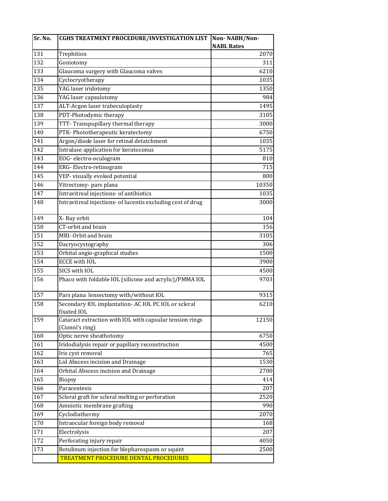| Sr. No. | <b>CGHS TREATMENT PROCEDURE/INVESTIGATION LIST</b>                          | Non-NABH/Non-     |
|---------|-----------------------------------------------------------------------------|-------------------|
|         |                                                                             | <b>NABL Rates</b> |
| 131     | Trephition                                                                  | 2070              |
| 132     | Goniotomy                                                                   | 311               |
| 133     | Glaucoma surgery with Glaucoma valves                                       | 6210              |
| 134     | Cyclocryotherapy                                                            | 1035              |
| 135     | YAG laser iridotomy                                                         | 1350              |
| 136     | YAG laser capsulotomy                                                       | 984               |
| 137     | ALT-Argon laser trabeculoplasty                                             | 1495              |
| 138     | PDT-Photodymic therapy                                                      | 3105              |
| 139     | TTT-Transpupillary thermal therapy                                          | 3000              |
| 140     | PTK-Phototherapeutic keratectomy                                            | 6750              |
| 141     | Argon/diode laser for retinal detatchment                                   | 1035              |
| 142     | Intralase application for keratoconus                                       | 5175              |
| 143     | EOG-electro-oculogram                                                       | 810               |
| 144     | ERG-Electro-retinogram                                                      | 715               |
| 145     | VEP- visually evoked potential                                              | 800               |
| 146     | Vitrectomy- pars plana                                                      | 10350             |
| 147     | Intravitreal injections- of antibiotics                                     | 1035              |
| 148     | Intravitreal injections- of lucentis excluding cost of drug                 | 3000              |
| 149     | X-Ray orbit                                                                 | 104               |
| 150     | CT-orbit and brain                                                          | 156               |
| 151     | MRI-Orbit and brain                                                         | 3105              |
| 152     | Dacryocystography                                                           | 306               |
| 153     | Orbital angio-graphical studies                                             | 1500              |
| 154     | <b>ECCE with IOL</b>                                                        | 3900              |
| 155     | SICS with IOL                                                               | 4500              |
| 156     | Phaco with foldable IOL (silicone and acrylic)/PMMA IOL                     | 9703              |
| 157     | Pars plana lensectomy with/without IOL                                      | $\overline{93}15$ |
| 158     | Secondary IOL implantation- AC IOL PC IOL or scleral<br>fixated IOL         | 6210              |
| 159     | Cataract extraction with IOL with capsular tension rings<br>(Cionni's ring) | 12150             |
| 160     | Optic nerve sheathotomy                                                     | 6750              |
| 161     | Iridodialysis repair or papillary reconstruction                            | 4500              |
| 162     | Iris cyst removal                                                           | 765               |
| 163     | Lid Abscess incision and Drainage                                           | 1530              |
| 164     | Orbital Abscess incision and Drainage                                       | 2700              |
| 165     | Biopsy                                                                      | 414               |
| 166     | Paracentesis                                                                | 207               |
| 167     | Scleral graft for scleral melting or perforation                            | 2520              |
| 168     | Amniotic membrane grafting                                                  | 990               |
| 169     | Cyclodiathermy                                                              | 2070              |
| 170     | Intraocular foreign body removal                                            | 168               |
| 171     | Electrolysis                                                                | 207               |
| 172     | Perforating injury repair                                                   | 4050              |
| 173     | Botulinum injection for blepharospasm or squint                             | 2500              |
|         | TREATMENT PROCEDURE DENTAL PROCEDURES                                       |                   |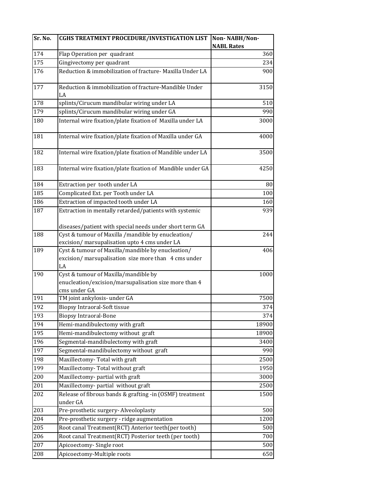| Sr. No. | <b>CGHS TREATMENT PROCEDURE/INVESTIGATION LIST</b>                                                 | Non-NABH/Non-     |
|---------|----------------------------------------------------------------------------------------------------|-------------------|
|         |                                                                                                    | <b>NABL Rates</b> |
| 174     | Flap Operation per quadrant                                                                        | 360               |
| 175     | Gingivectomy per quadrant                                                                          | 234               |
| 176     | Reduction & immobilization of fracture- Maxilla Under LA                                           | 900               |
| 177     | Reduction & immobilization of fracture-Mandible Under<br>LA                                        | 3150              |
| 178     | splints/Cirucum mandibular wiring under LA                                                         | 510               |
| 179     | splints/Cirucum mandibular wiring under GA                                                         | 990               |
| 180     | Internal wire fixation/plate fixation of Maxilla under LA                                          | 3000              |
| 181     | Internal wire fixation/plate fixation of Maxilla under GA                                          | 4000              |
| 182     | Internal wire fixation/plate fixation of Mandible under LA                                         | 3500              |
| 183     | Internal wire fixation/plate fixation of Mandible under GA                                         | 4250              |
| 184     | Extraction per tooth under LA                                                                      | 80                |
| 185     | Complicated Ext. per Tooth under LA                                                                | 100               |
| 186     | Extraction of impacted tooth under LA                                                              | 160               |
| 187     | Extraction in mentally retarded/patients with systemic                                             | 939               |
|         |                                                                                                    |                   |
|         | diseases/patient with special needs under short term GA                                            |                   |
| 188     | Cyst & tumour of Maxilla /mandible by enucleation/                                                 | 244               |
| 189     | excision/ marsupalisation upto 4 cms under LA<br>Cyst & tumour of Maxilla/mandible by enucleation/ | 406               |
|         | excision/ marsupalisation size more than 4 cms under                                               |                   |
|         | LA                                                                                                 |                   |
| 190     | Cyst & tumour of Maxilla/mandible by                                                               | 1000              |
|         | enucleation/excision/marsupalisation size more than 4                                              |                   |
|         | cms under GA                                                                                       |                   |
| 191     | TM joint ankylosis- under GA                                                                       | 7500              |
| 192     | <b>Biopsy Intraoral-Soft tissue</b>                                                                | 374               |
| 193     | <b>Biopsy Intraoral-Bone</b>                                                                       | 374               |
| 194     | Hemi-mandibulectomy with graft                                                                     | 18900             |
| 195     | Hemi-mandibulectomy without graft                                                                  | 18900             |
| 196     | Segmental-mandibulectomy with graft                                                                | 3400              |
| 197     | Segmental-mandibulectomy without graft                                                             | 990               |
| 198     | Maxillectomy-Total with graft                                                                      | 2500              |
| 199     | Maxillectomy-Total without graft                                                                   | 1950              |
| 200     | Maxillectomy- partial with graft                                                                   | 3000              |
| 201     | Maxillectomy- partial without graft                                                                | 2500              |
| 202     | Release of fibrous bands & grafting -in (OSMF) treatment                                           | 1500              |
|         | under GA                                                                                           |                   |
| 203     | Pre-prosthetic surgery- Alveoloplasty                                                              | 500               |
| 204     | Pre-prosthetic surgery - ridge augmentation                                                        | 1200              |
| 205     | Root canal Treatment(RCT) Anterior teeth(per tooth)                                                | 500               |
| 206     | Root canal Treatment(RCT) Posterior teeth (per tooth)                                              | 700               |
| 207     | Apicoectomy-Single root                                                                            | 500               |
| 208     | Apicoectomy-Multiple roots                                                                         | 650               |
|         |                                                                                                    |                   |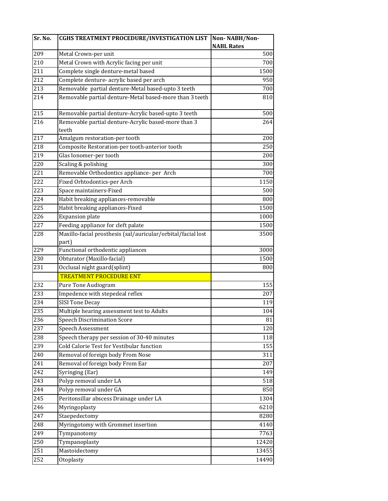| Sr. No. | CGHS TREATMENT PROCEDURE/INVESTIGATION LIST                  | Non-NABH/Non-     |
|---------|--------------------------------------------------------------|-------------------|
|         |                                                              | <b>NABL Rates</b> |
| 209     | Metal Crown-per unit                                         | 500               |
| 210     | Metal Crown with Acrylic facing per unit                     | 700               |
| 211     | Complete single denture-metal based                          | 1500              |
| 212     | Complete denture-acrylic based per arch                      | 950               |
| 213     | Removable partial denture-Metal based-upto 3 teeth           | 700               |
| 214     | Removable partial denture-Metal based-more than 3 teeth      | 810               |
| 215     | Removable partial denture-Acrylic based-upto 3 teeth         | 500               |
| 216     | Removable partial denture-Acrylic based-more than 3<br>teeth | 264               |
| 217     | Amalgum restoration-per tooth                                | 200               |
| 218     | Composite Restoration-per tooth-anterior tooth               | 250               |
| 219     | Glas Ionomer-per tooth                                       | 200               |
| 220     | Scaling & polishing                                          | 300               |
| 221     | Removable Orthodontics appliance- per Arch                   | 700               |
| 222     | Fixed Orhtodontics-per Arch                                  | 1150              |
| 223     | Space maintainers-Fixed                                      | 500               |
| 224     | Habit breaking appliances-removable                          | 800               |
| 225     | Habit breaking appliances-Fixed                              | 1500              |
| 226     | <b>Expansion plate</b>                                       | 1000              |
| 227     | Feeding appliance for cleft palate                           | 1500              |
| 228     | Maxillo-facial prosthesis (sal/auricular/orbital/facial lost | 3500              |
|         | part)                                                        |                   |
| 229     | Functional orthodentic appliances                            | 3000              |
| 230     | Obturator (Maxillo-facial)                                   | 1500              |
| 231     | Occlusal night guard(splint)                                 | 800               |
|         | <b>TREATMENT PROCEDURE ENT</b>                               |                   |
| 232     | Pure Tone Audiogram                                          | 155               |
| 233     | Impedence with stepedeal reflex                              | 207               |
| 234     | <b>SISI Tone Decay</b>                                       | 119               |
| 235     | Multiple hearing assessment test to Adults                   | 104               |
| 236     | <b>Speech Discrimination Score</b>                           | 81                |
| 237     | Speech Assessment                                            | 120               |
| 238     | Speech therapy per session of 30-40 minutes                  | 118               |
| 239     | Cold Calorie Test for Vestibular function                    | 155               |
| 240     | Removal of foreign body From Nose                            | 311               |
| 241     | Removal of foreign body From Ear                             | 207               |
| 242     | Syringing (Ear)                                              | 149               |
| 243     | Polyp removal under LA                                       | 518               |
| 244     | Polyp removal under GA                                       | 850               |
| 245     | Peritonsillar abscess Drainage under LA                      | 1304              |
| 246     | Myringoplasty                                                | 6210              |
| 247     | Staepedectomy                                                | 8280              |
| 248     | Myringotomy with Grommet insertion                           | 4140              |
| 249     | Tympanotomy                                                  | 7763              |
| 250     | Tympanoplasty                                                | 12420             |
| 251     | Mastoidectomy                                                | 13455             |
| 252     | Otoplasty                                                    | 14490             |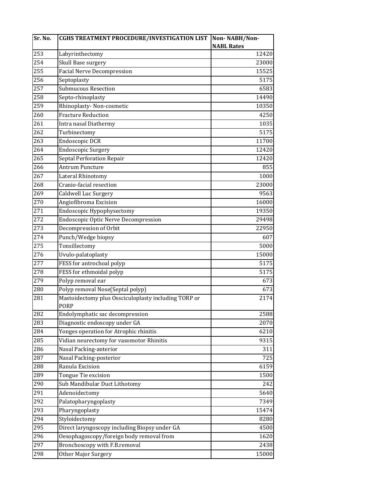| Sr. No. | <b>CGHS TREATMENT PROCEDURE/INVESTIGATION LIST</b>           | Non-NABH/Non-     |
|---------|--------------------------------------------------------------|-------------------|
|         |                                                              | <b>NABL Rates</b> |
| 253     | Labyrinthectomy                                              | 12420             |
| 254     | Skull Base surgery                                           | 23000             |
| 255     | <b>Facial Nerve Decompression</b>                            | 15525             |
| 256     | Septoplasty                                                  | 5175              |
| 257     | <b>Submucous Resection</b>                                   | 6583              |
| 258     | Septo-rhinoplasty                                            | 14490             |
| 259     | Rhinoplasty-Non-cosmetic                                     | 10350             |
| 260     | <b>Fracture Reduction</b>                                    | 4250              |
| 261     | Intra nasal Diathermy                                        | 1035              |
| 262     | Turbinectomy                                                 | 5175              |
| 263     | Endoscopic DCR                                               | 11700             |
| 264     | Endoscopic Surgery                                           | 12420             |
| 265     | Septal Perforation Repair                                    | 12420             |
| 266     | <b>Antrum Puncture</b>                                       | 855               |
| 267     | Lateral Rhinotomy                                            | 1000              |
| 268     | Cranio-facial resection                                      | 23000             |
| 269     | Caldwell Luc Surgery                                         | 9563              |
| 270     | Angiofibroma Excision                                        | 16000             |
| 271     | Endoscopic Hypophysectomy                                    | 19350             |
| 272     | <b>Endoscopic Optic Nerve Decompression</b>                  | 29498             |
| 273     | Decompression of Orbit                                       | 22950             |
| 274     | Punch/Wedge biopsy                                           | 607               |
| 275     | Tonsillectomy                                                | 5000              |
| 276     | Uvulo-palatoplasty                                           | 15000             |
| 277     | FESS for antrochoal polyp                                    | 5175              |
| 278     | FESS for ethmoidal polyp                                     | 5175              |
| 279     | Polyp removal ear                                            | 673               |
| 280     | Polyp removal Nose(Septal polyp)                             | 673               |
| 281     | Mastoidectomy plus Ossciculoplasty including TORP or<br>PORP | 2174              |
| 282     | Endolymphatic sac decompression                              | 2588              |
| 283     | Diagnostic endoscopy under GA                                | 2070              |
| 284     | Yonges operation for Atrophic rhinitis                       | 6210              |
| 285     | Vidian neurectomy for vasomotor Rhinitis                     | 9315              |
| 286     | Nasal Packing-anterior                                       | 311               |
| 287     | Nasal Packing-posterior                                      | 725               |
| 288     | Ranula Excision                                              | 6159              |
| 289     | Tongue Tie excision                                          | 1500              |
| 290     | Sub Mandibular Duct Lithotomy                                | 242               |
| 291     | Adenoidectomy                                                | 5640              |
| 292     | Palatopharyngoplasty                                         | 7349              |
| 293     | Pharyngoplasty                                               | 15474             |
| 294     | Styloidectomy                                                | 8280              |
| 295     | Direct laryngoscopy including Biopsy under GA                | 4500              |
| 296     | Oesophagoscopy/foreign body removal from                     | 1620              |
| 297     | Bronchoscopy with F.B.removal                                | 2438              |
| 298     | Other Major Surgery                                          | 15000             |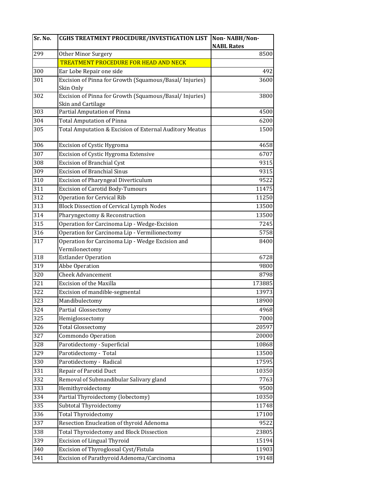| Sr. No. | <b>CGHS TREATMENT PROCEDURE/INVESTIGATION LIST</b>      | Non-NABH/Non-<br><b>NABL Rates</b> |
|---------|---------------------------------------------------------|------------------------------------|
| 299     | <b>Other Minor Surgery</b>                              | 8500                               |
|         | <b>TREATMENT PROCEDURE FOR HEAD AND NECK</b>            |                                    |
| 300     | Ear Lobe Repair one side                                | 492                                |
| 301     | Excision of Pinna for Growth (Squamous/Basal/Injuries)  | 3600                               |
|         | Skin Only                                               |                                    |
| 302     | Excision of Pinna for Growth (Squamous/Basal/ Injuries) | 3800                               |
|         | Skin and Cartilage                                      |                                    |
| 303     | Partial Amputation of Pinna                             | 4500                               |
| 304     | <b>Total Amputation of Pinna</b>                        | 6200                               |
| 305     | Total Amputation & Excision of External Auditory Meatus | 1500                               |
| 306     | Excision of Cystic Hygroma                              | 4658                               |
| 307     | Excision of Cystic Hygroma Extensive                    | 6707                               |
| 308     | <b>Excision of Branchial Cyst</b>                       | 9315                               |
| 309     | <b>Excision of Branchial Sinus</b>                      | 9315                               |
| 310     | <b>Excision of Pharyngeal Diverticulum</b>              | 9522                               |
| 311     | <b>Excision of Carotid Body-Tumours</b>                 | 11475                              |
| 312     | <b>Operation for Cervical Rib</b>                       | 11250                              |
| 313     | <b>Block Dissection of Cervical Lymph Nodes</b>         | 13500                              |
| 314     | Pharyngectomy & Reconstruction                          | 13500                              |
| 315     | Operation for Carcinoma Lip - Wedge-Excision            | 7245                               |
| 316     | Operation for Carcinoma Lip - Vermilionectomy           | 5758                               |
| 317     | Operation for Carcinoma Lip - Wedge Excision and        | 8400                               |
|         | Vermilonectomy                                          |                                    |
| 318     | <b>Estlander Operation</b>                              | 6728                               |
| 319     | Abbe Operation                                          | 9800                               |
| 320     | <b>Cheek Advancement</b>                                | 8798                               |
| 321     | <b>Excision of the Maxilla</b>                          | 173885                             |
| 322     | Excision of mandible-segmental                          | 13973                              |
| 323     | Mandibulectomy                                          | 18900                              |
| 324     | Partial Glossectomy                                     | 4968                               |
| 325     | Hemiglossectomy                                         | 7000                               |
| 326     | <b>Total Glossectomy</b>                                | 20597                              |
| 327     | Commondo Operation                                      | 20000                              |
| 328     | Parotidectomy - Superficial                             | 10868                              |
| 329     | Parotidectomy - Total                                   | 13500                              |
| 330     | Parotidectomy - Radical                                 | 17595                              |
| 331     | <b>Repair of Parotid Duct</b>                           | 10350                              |
| 332     | Removal of Submandibular Salivary gland                 | 7763                               |
| 333     | Hemithyroidectomy                                       | 9500                               |
| 334     | Partial Thyroidectomy (lobectomy)                       | 10350                              |
| 335     | Subtotal Thyroidectomy                                  | 11748                              |
| 336     | <b>Total Thyroidectomy</b>                              | 17100                              |
| 337     | Resection Enucleation of thyroid Adenoma                | 9522                               |
| 338     | <b>Total Thyroidectomy and Block Dissection</b>         | 23805                              |
| 339     | <b>Excision of Lingual Thyroid</b>                      | 15194                              |
| 340     | Excision of Thyroglossal Cyst/Fistula                   | 11903                              |
| 341     | Excision of Parathyroid Adenoma/Carcinoma               | 19148                              |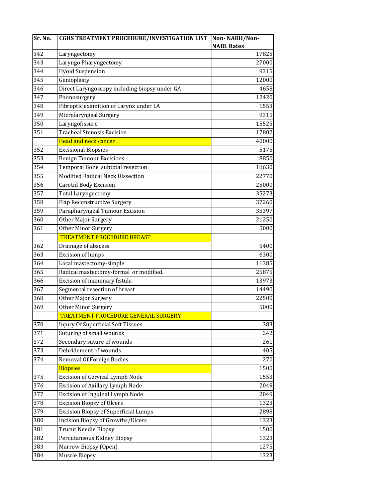| Sr. No.         | <b>CGHS TREATMENT PROCEDURE/INVESTIGATION LIST</b> | Non-NABH/Non-     |
|-----------------|----------------------------------------------------|-------------------|
|                 |                                                    | <b>NABL Rates</b> |
| 342             | Laryngectomy                                       | 17825             |
| 343             | Laryngo Pharyngectomy                              | 27000             |
| 344             | <b>Hyoid Suspension</b>                            | 9315              |
| 345             | Genioplasty                                        | 12000             |
| 346             | Direct Laryngoscopy including biopsy under GA      | 4658              |
| 347             | Phonosurgery                                       | 12420             |
| 348             | Fibroptic examition of Larynx under LA             | 1553              |
| 349             | Microlaryngeal Surgery                             | 9315              |
| 350             | Laryngofissure                                     | 15525             |
| 351             | <b>Tracheal Stenosis Excision</b>                  | 17802             |
|                 | <b>Head and neck cancer</b>                        | 40000             |
| 352             | <b>Excisional Biopsies</b>                         | 5175              |
| 353             | Benign Tumour Excisions                            | 8850              |
| 354             | Temporal Bone subtotal resection                   | 18630             |
| 355             | Modified Radical Neck Dissection                   | 22770             |
| 356             | <b>Carotid Body Excision</b>                       | 25000             |
| 357             | <b>Total Laryngectomy</b>                          | 35273             |
| 358             | Flap Reconstructive Surgery                        | 37260             |
| 359             | Parapharyngeal Tumour Excision                     | 35397             |
| 360             | Other Major Surgery                                | 21250             |
| 361             | Other Minor Surgery                                | 5000              |
|                 | <b>TREATMENT PROCEDURE BREAST</b>                  |                   |
| 362             | Drainage of abscess                                | 5400              |
| 363             | <b>Excision of lumps</b>                           | 6300              |
| 364             | Local mastectomy-simple                            | 11385             |
| 365             | Radical mastectomy-formal or modified.             | 25875             |
| $\frac{1}{366}$ | Excision of mammary fistula                        | 13973             |
| 367             | Segmental resection of breast                      | 14490             |
| 368             | Other Major Surgery                                | 22500             |
| 369             | Other Minor Surgery                                | 5000              |
|                 | TREATMENT PROCEDURE GENERAL SURGERY                |                   |
| 370             | <b>Injury Of Superficial Soft Tissues</b>          | 383               |
| 371             | Suturing of small wounds                           | 242               |
| 372             | Secondary suture of wounds                         | 261               |
| 373             | Debridement of wounds                              | 405               |
| 374             | Removal Of Foreign Bodies                          | 270               |
|                 | <b>Biopsies</b>                                    | 1500              |
| 375             | Excision of Cervical Lymph Node                    | 1553              |
| 376             | Excision of Axillary Lymph Node                    | 2049              |
| 377             | Excision of Inguinal Lymph Node                    | 2049              |
| 378             | <b>Excision Biopsy of Ulcers</b>                   | 1323              |
| 379             | <b>Excision Biopsy of Superficial Lumps</b>        | 2898              |
| 380             | <b>Incision Biopsy of Growths/Ulcers</b>           | 1323              |
| 381             | <b>Trucut Needle Biopsy</b>                        | 1500              |
| 382             | Percutaneous Kidney Biopsy                         | 1323              |
| 383             | Marrow Biopsy (Open)                               | 1275              |
| 384             | Muscle Biopsy                                      | 1323              |
|                 |                                                    |                   |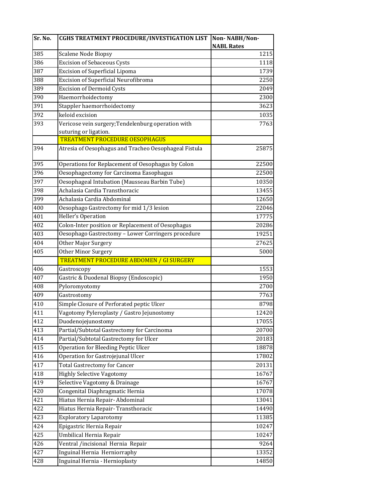| Sr. No. | <b>CGHS TREATMENT PROCEDURE/INVESTIGATION LIST</b>    | Non-NABH/Non-     |
|---------|-------------------------------------------------------|-------------------|
|         |                                                       | <b>NABL Rates</b> |
| 385     | Scalene Node Biopsy                                   | 1215              |
| 386     | <b>Excision of Sebaceous Cysts</b>                    | 1118              |
| 387     | <b>Excision of Superficial Lipoma</b>                 | 1739              |
| 388     | Excision of Superficial Neurofibroma                  | 2250              |
| 389     | <b>Excision of Dermoid Cysts</b>                      | 2049              |
| 390     | Haemorrhoidectomy                                     | 2300              |
| 391     | Stappler haemorrhoidectomy                            | 3623              |
| 392     | keloid excision                                       | 1035              |
| 393     | Vericose vein surgery; Tendelenburg operation with    | 7763              |
|         | suturing or ligation.                                 |                   |
|         | <b>TREATMENT PROCEDURE OESOPHAGUS</b>                 |                   |
| 394     | Atresia of Oesophagus and Tracheo Oesophageal Fistula | 25875             |
| 395     | Operations for Replacement of Oesophagus by Colon     | 22500             |
| 396     | Oesophagectomy for Carcinoma Easophagus               | 22500             |
| 397     | Oesophageal Intubation (Mausseau Barbin Tube)         | 10350             |
| 398     | Achalasia Cardia Transthoracic                        | 13455             |
| 399     | Achalasia Cardia Abdominal                            | 12650             |
| 400     | Oesophago Gastrectomy for mid 1/3 lesion              | 22046             |
| 401     | <b>Heller's Operation</b>                             | 17775             |
| 402     | Colon-Inter position or Replacement of Oesophagus     | 20286             |
| 403     | Oesophago Gastrectomy - Lower Corringers procedure    | 19251             |
| 404     | Other Major Surgery                                   | 27625             |
| 405     | Other Minor Surgery                                   | 5000              |
|         | TREATMENT PROCEDURE ABDOMEN / GI SURGERY              |                   |
| 406     | Gastroscopy                                           | 1553              |
| 407     | Gastric & Duodenal Biopsy (Endoscopic)                | 1950              |
| 408     |                                                       | 2700              |
| 409     | Pyloromyotomy                                         | 7763              |
|         | Gastrostomy                                           |                   |
| 410     | Simple Closure of Perforated peptic Ulcer             | 8798              |
| 411     | Vagotomy Pyleroplasty / Gastro Jejunostomy            | 12420             |
| 412     | Duodenojejunostomy                                    | 17055             |
| 413     | Partial/Subtotal Gastrectomy for Carcinoma            | 20700             |
| 414     | Partial/Subtotal Gastrectomy for Ulcer                | 20183             |
| 415     | Operation for Bleeding Peptic Ulcer                   | 18878             |
| 416     | Operation for Gastrojejunal Ulcer                     | 17802             |
| 417     | <b>Total Gastrectomy for Cancer</b>                   | 20131             |
| 418     | <b>Highly Selective Vagotomy</b>                      | 16767             |
| 419     | Selective Vagotomy & Drainage                         | 16767             |
| 420     | Congenital Diaphragmatic Hernia                       | 17078             |
| 421     | Hiatus Hernia Repair- Abdominal                       | 13041             |
| 422     | Hiatus Hernia Repair- Transthoracic                   | 14490             |
| 423     | <b>Exploratory Laparotomy</b>                         | 11385             |
| 424     | Epigastric Hernia Repair                              | 10247             |
| 425     | Umbilical Hernia Repair                               | 10247             |
| 426     | Ventral /incisional Hernia Repair                     | 9264              |
| 427     | Inguinal Hernia Herniorraphy                          | 13352             |
| 428     | Inguinal Hernia - Hernioplasty                        | 14850             |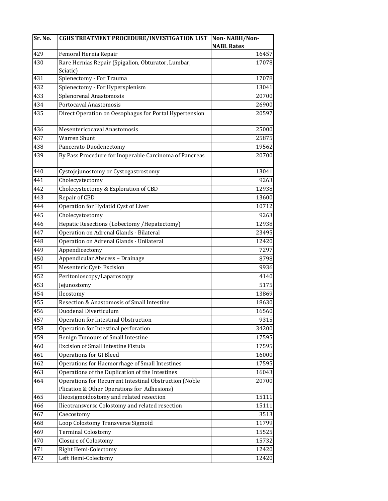| 429<br>16457<br>Femoral Hernia Repair<br>430<br>Rare Hernias Repair (Spigalion, Obturator, Lumbar,<br>17078<br>Sciatic)<br>431<br>Splenectomy - For Trauma<br>432<br>Splenectomy - For Hypersplenism<br>433<br>Splenorenal Anastomosis<br>434<br>Portocaval Anastomosis<br>435<br>Direct Operation on Oesophagus for Portal Hypertension<br>436<br>Mesentericocaval Anastomosis<br>437<br><b>Warren Shunt</b><br>438<br>Pancerato Duodenectomy<br>By Pass Procedure for Inoperable Carcinoma of Pancreas<br>439<br>440<br>Cystojejunostomy or Cystogastrostomy<br>441<br>Cholecystectomy<br>442<br>Cholecystectomy & Exploration of CBD<br>443<br>Repair of CBD<br>Operation for Hydatid Cyst of Liver<br>444<br>445<br>Cholecystostomy<br>Hepatic Resections (Lobectomy / Hepatectomy)<br>446<br>447<br>Operation on Adrenal Glands - Bilateral<br>448<br>Operation on Adrenal Glands - Unilateral<br>Appendicectomy<br>449<br>Appendicular Abscess - Drainage<br>450<br>Mesenteric Cyst-Excision<br>451<br>452<br>Peritonioscopy/Laparoscopy<br>453<br>Jejunostomy<br>454<br>Ileostomy<br>Resection & Anastomosis of Small Intestine<br>455<br>Duodenal Diverticulum<br>456<br>457<br>Operation for Intestinal Obstruction<br>Operation for Intestinal perforation<br>458<br><b>Benign Tumours of Small Intestine</b><br>459<br>Excision of Small Intestine Fistula<br>460<br>461<br><b>Operations for GI Bleed</b><br>Operations for Haemorrhage of Small Intestines<br>462<br>Operations of the Duplication of the Intestines<br>463<br>Operations for Recurrent Intestinal Obstruction (Noble<br>464<br>20700<br>Plication & Other Operations for Adhesions)<br>465<br>Ilieosigmoidostomy and related resection<br>466<br>Ilieotransverse Colostomy and related resection<br>467<br>Caecostomy<br>Loop Colostomy Transverse Sigmoid<br>468<br>469<br><b>Terminal Colostomy</b><br>470<br>Closure of Colostomy | Sr. No. | <b>CGHS TREATMENT PROCEDURE/INVESTIGATION LIST</b> | Non-NABH/Non-     |
|--------------------------------------------------------------------------------------------------------------------------------------------------------------------------------------------------------------------------------------------------------------------------------------------------------------------------------------------------------------------------------------------------------------------------------------------------------------------------------------------------------------------------------------------------------------------------------------------------------------------------------------------------------------------------------------------------------------------------------------------------------------------------------------------------------------------------------------------------------------------------------------------------------------------------------------------------------------------------------------------------------------------------------------------------------------------------------------------------------------------------------------------------------------------------------------------------------------------------------------------------------------------------------------------------------------------------------------------------------------------------------------------------------------------------------------------------------------------------------------------------------------------------------------------------------------------------------------------------------------------------------------------------------------------------------------------------------------------------------------------------------------------------------------------------------------------------------------------------------------------------------------------------------------------|---------|----------------------------------------------------|-------------------|
|                                                                                                                                                                                                                                                                                                                                                                                                                                                                                                                                                                                                                                                                                                                                                                                                                                                                                                                                                                                                                                                                                                                                                                                                                                                                                                                                                                                                                                                                                                                                                                                                                                                                                                                                                                                                                                                                                                                    |         |                                                    | <b>NABL Rates</b> |
|                                                                                                                                                                                                                                                                                                                                                                                                                                                                                                                                                                                                                                                                                                                                                                                                                                                                                                                                                                                                                                                                                                                                                                                                                                                                                                                                                                                                                                                                                                                                                                                                                                                                                                                                                                                                                                                                                                                    |         |                                                    |                   |
|                                                                                                                                                                                                                                                                                                                                                                                                                                                                                                                                                                                                                                                                                                                                                                                                                                                                                                                                                                                                                                                                                                                                                                                                                                                                                                                                                                                                                                                                                                                                                                                                                                                                                                                                                                                                                                                                                                                    |         |                                                    |                   |
|                                                                                                                                                                                                                                                                                                                                                                                                                                                                                                                                                                                                                                                                                                                                                                                                                                                                                                                                                                                                                                                                                                                                                                                                                                                                                                                                                                                                                                                                                                                                                                                                                                                                                                                                                                                                                                                                                                                    |         |                                                    | 17078             |
|                                                                                                                                                                                                                                                                                                                                                                                                                                                                                                                                                                                                                                                                                                                                                                                                                                                                                                                                                                                                                                                                                                                                                                                                                                                                                                                                                                                                                                                                                                                                                                                                                                                                                                                                                                                                                                                                                                                    |         |                                                    | 13041             |
|                                                                                                                                                                                                                                                                                                                                                                                                                                                                                                                                                                                                                                                                                                                                                                                                                                                                                                                                                                                                                                                                                                                                                                                                                                                                                                                                                                                                                                                                                                                                                                                                                                                                                                                                                                                                                                                                                                                    |         |                                                    | 20700             |
|                                                                                                                                                                                                                                                                                                                                                                                                                                                                                                                                                                                                                                                                                                                                                                                                                                                                                                                                                                                                                                                                                                                                                                                                                                                                                                                                                                                                                                                                                                                                                                                                                                                                                                                                                                                                                                                                                                                    |         |                                                    | 26900             |
|                                                                                                                                                                                                                                                                                                                                                                                                                                                                                                                                                                                                                                                                                                                                                                                                                                                                                                                                                                                                                                                                                                                                                                                                                                                                                                                                                                                                                                                                                                                                                                                                                                                                                                                                                                                                                                                                                                                    |         |                                                    | 20597             |
|                                                                                                                                                                                                                                                                                                                                                                                                                                                                                                                                                                                                                                                                                                                                                                                                                                                                                                                                                                                                                                                                                                                                                                                                                                                                                                                                                                                                                                                                                                                                                                                                                                                                                                                                                                                                                                                                                                                    |         |                                                    | 25000             |
|                                                                                                                                                                                                                                                                                                                                                                                                                                                                                                                                                                                                                                                                                                                                                                                                                                                                                                                                                                                                                                                                                                                                                                                                                                                                                                                                                                                                                                                                                                                                                                                                                                                                                                                                                                                                                                                                                                                    |         |                                                    | 25875             |
|                                                                                                                                                                                                                                                                                                                                                                                                                                                                                                                                                                                                                                                                                                                                                                                                                                                                                                                                                                                                                                                                                                                                                                                                                                                                                                                                                                                                                                                                                                                                                                                                                                                                                                                                                                                                                                                                                                                    |         |                                                    | 19562             |
|                                                                                                                                                                                                                                                                                                                                                                                                                                                                                                                                                                                                                                                                                                                                                                                                                                                                                                                                                                                                                                                                                                                                                                                                                                                                                                                                                                                                                                                                                                                                                                                                                                                                                                                                                                                                                                                                                                                    |         |                                                    | 20700             |
|                                                                                                                                                                                                                                                                                                                                                                                                                                                                                                                                                                                                                                                                                                                                                                                                                                                                                                                                                                                                                                                                                                                                                                                                                                                                                                                                                                                                                                                                                                                                                                                                                                                                                                                                                                                                                                                                                                                    |         |                                                    | 13041             |
|                                                                                                                                                                                                                                                                                                                                                                                                                                                                                                                                                                                                                                                                                                                                                                                                                                                                                                                                                                                                                                                                                                                                                                                                                                                                                                                                                                                                                                                                                                                                                                                                                                                                                                                                                                                                                                                                                                                    |         |                                                    | 9263              |
|                                                                                                                                                                                                                                                                                                                                                                                                                                                                                                                                                                                                                                                                                                                                                                                                                                                                                                                                                                                                                                                                                                                                                                                                                                                                                                                                                                                                                                                                                                                                                                                                                                                                                                                                                                                                                                                                                                                    |         |                                                    | 12938             |
|                                                                                                                                                                                                                                                                                                                                                                                                                                                                                                                                                                                                                                                                                                                                                                                                                                                                                                                                                                                                                                                                                                                                                                                                                                                                                                                                                                                                                                                                                                                                                                                                                                                                                                                                                                                                                                                                                                                    |         |                                                    | 13600             |
|                                                                                                                                                                                                                                                                                                                                                                                                                                                                                                                                                                                                                                                                                                                                                                                                                                                                                                                                                                                                                                                                                                                                                                                                                                                                                                                                                                                                                                                                                                                                                                                                                                                                                                                                                                                                                                                                                                                    |         |                                                    | 10712             |
|                                                                                                                                                                                                                                                                                                                                                                                                                                                                                                                                                                                                                                                                                                                                                                                                                                                                                                                                                                                                                                                                                                                                                                                                                                                                                                                                                                                                                                                                                                                                                                                                                                                                                                                                                                                                                                                                                                                    |         |                                                    | 9263              |
|                                                                                                                                                                                                                                                                                                                                                                                                                                                                                                                                                                                                                                                                                                                                                                                                                                                                                                                                                                                                                                                                                                                                                                                                                                                                                                                                                                                                                                                                                                                                                                                                                                                                                                                                                                                                                                                                                                                    |         |                                                    | 12938             |
|                                                                                                                                                                                                                                                                                                                                                                                                                                                                                                                                                                                                                                                                                                                                                                                                                                                                                                                                                                                                                                                                                                                                                                                                                                                                                                                                                                                                                                                                                                                                                                                                                                                                                                                                                                                                                                                                                                                    |         |                                                    | 23495             |
|                                                                                                                                                                                                                                                                                                                                                                                                                                                                                                                                                                                                                                                                                                                                                                                                                                                                                                                                                                                                                                                                                                                                                                                                                                                                                                                                                                                                                                                                                                                                                                                                                                                                                                                                                                                                                                                                                                                    |         |                                                    | 12420             |
|                                                                                                                                                                                                                                                                                                                                                                                                                                                                                                                                                                                                                                                                                                                                                                                                                                                                                                                                                                                                                                                                                                                                                                                                                                                                                                                                                                                                                                                                                                                                                                                                                                                                                                                                                                                                                                                                                                                    |         |                                                    | 7297              |
|                                                                                                                                                                                                                                                                                                                                                                                                                                                                                                                                                                                                                                                                                                                                                                                                                                                                                                                                                                                                                                                                                                                                                                                                                                                                                                                                                                                                                                                                                                                                                                                                                                                                                                                                                                                                                                                                                                                    |         |                                                    | 8798              |
|                                                                                                                                                                                                                                                                                                                                                                                                                                                                                                                                                                                                                                                                                                                                                                                                                                                                                                                                                                                                                                                                                                                                                                                                                                                                                                                                                                                                                                                                                                                                                                                                                                                                                                                                                                                                                                                                                                                    |         |                                                    | 9936              |
|                                                                                                                                                                                                                                                                                                                                                                                                                                                                                                                                                                                                                                                                                                                                                                                                                                                                                                                                                                                                                                                                                                                                                                                                                                                                                                                                                                                                                                                                                                                                                                                                                                                                                                                                                                                                                                                                                                                    |         |                                                    | 4140              |
|                                                                                                                                                                                                                                                                                                                                                                                                                                                                                                                                                                                                                                                                                                                                                                                                                                                                                                                                                                                                                                                                                                                                                                                                                                                                                                                                                                                                                                                                                                                                                                                                                                                                                                                                                                                                                                                                                                                    |         |                                                    | 5175              |
|                                                                                                                                                                                                                                                                                                                                                                                                                                                                                                                                                                                                                                                                                                                                                                                                                                                                                                                                                                                                                                                                                                                                                                                                                                                                                                                                                                                                                                                                                                                                                                                                                                                                                                                                                                                                                                                                                                                    |         |                                                    | 13869             |
|                                                                                                                                                                                                                                                                                                                                                                                                                                                                                                                                                                                                                                                                                                                                                                                                                                                                                                                                                                                                                                                                                                                                                                                                                                                                                                                                                                                                                                                                                                                                                                                                                                                                                                                                                                                                                                                                                                                    |         |                                                    | 18630             |
|                                                                                                                                                                                                                                                                                                                                                                                                                                                                                                                                                                                                                                                                                                                                                                                                                                                                                                                                                                                                                                                                                                                                                                                                                                                                                                                                                                                                                                                                                                                                                                                                                                                                                                                                                                                                                                                                                                                    |         |                                                    | 16560             |
|                                                                                                                                                                                                                                                                                                                                                                                                                                                                                                                                                                                                                                                                                                                                                                                                                                                                                                                                                                                                                                                                                                                                                                                                                                                                                                                                                                                                                                                                                                                                                                                                                                                                                                                                                                                                                                                                                                                    |         |                                                    | 9315              |
|                                                                                                                                                                                                                                                                                                                                                                                                                                                                                                                                                                                                                                                                                                                                                                                                                                                                                                                                                                                                                                                                                                                                                                                                                                                                                                                                                                                                                                                                                                                                                                                                                                                                                                                                                                                                                                                                                                                    |         |                                                    | 34200             |
|                                                                                                                                                                                                                                                                                                                                                                                                                                                                                                                                                                                                                                                                                                                                                                                                                                                                                                                                                                                                                                                                                                                                                                                                                                                                                                                                                                                                                                                                                                                                                                                                                                                                                                                                                                                                                                                                                                                    |         |                                                    | 17595             |
|                                                                                                                                                                                                                                                                                                                                                                                                                                                                                                                                                                                                                                                                                                                                                                                                                                                                                                                                                                                                                                                                                                                                                                                                                                                                                                                                                                                                                                                                                                                                                                                                                                                                                                                                                                                                                                                                                                                    |         |                                                    | 17595             |
|                                                                                                                                                                                                                                                                                                                                                                                                                                                                                                                                                                                                                                                                                                                                                                                                                                                                                                                                                                                                                                                                                                                                                                                                                                                                                                                                                                                                                                                                                                                                                                                                                                                                                                                                                                                                                                                                                                                    |         |                                                    | 16000             |
|                                                                                                                                                                                                                                                                                                                                                                                                                                                                                                                                                                                                                                                                                                                                                                                                                                                                                                                                                                                                                                                                                                                                                                                                                                                                                                                                                                                                                                                                                                                                                                                                                                                                                                                                                                                                                                                                                                                    |         |                                                    | 17595             |
|                                                                                                                                                                                                                                                                                                                                                                                                                                                                                                                                                                                                                                                                                                                                                                                                                                                                                                                                                                                                                                                                                                                                                                                                                                                                                                                                                                                                                                                                                                                                                                                                                                                                                                                                                                                                                                                                                                                    |         |                                                    | 16043             |
|                                                                                                                                                                                                                                                                                                                                                                                                                                                                                                                                                                                                                                                                                                                                                                                                                                                                                                                                                                                                                                                                                                                                                                                                                                                                                                                                                                                                                                                                                                                                                                                                                                                                                                                                                                                                                                                                                                                    |         |                                                    |                   |
|                                                                                                                                                                                                                                                                                                                                                                                                                                                                                                                                                                                                                                                                                                                                                                                                                                                                                                                                                                                                                                                                                                                                                                                                                                                                                                                                                                                                                                                                                                                                                                                                                                                                                                                                                                                                                                                                                                                    |         |                                                    |                   |
|                                                                                                                                                                                                                                                                                                                                                                                                                                                                                                                                                                                                                                                                                                                                                                                                                                                                                                                                                                                                                                                                                                                                                                                                                                                                                                                                                                                                                                                                                                                                                                                                                                                                                                                                                                                                                                                                                                                    |         |                                                    | 15111             |
|                                                                                                                                                                                                                                                                                                                                                                                                                                                                                                                                                                                                                                                                                                                                                                                                                                                                                                                                                                                                                                                                                                                                                                                                                                                                                                                                                                                                                                                                                                                                                                                                                                                                                                                                                                                                                                                                                                                    |         |                                                    | 15111             |
|                                                                                                                                                                                                                                                                                                                                                                                                                                                                                                                                                                                                                                                                                                                                                                                                                                                                                                                                                                                                                                                                                                                                                                                                                                                                                                                                                                                                                                                                                                                                                                                                                                                                                                                                                                                                                                                                                                                    |         |                                                    | 3513              |
|                                                                                                                                                                                                                                                                                                                                                                                                                                                                                                                                                                                                                                                                                                                                                                                                                                                                                                                                                                                                                                                                                                                                                                                                                                                                                                                                                                                                                                                                                                                                                                                                                                                                                                                                                                                                                                                                                                                    |         |                                                    | 11799             |
|                                                                                                                                                                                                                                                                                                                                                                                                                                                                                                                                                                                                                                                                                                                                                                                                                                                                                                                                                                                                                                                                                                                                                                                                                                                                                                                                                                                                                                                                                                                                                                                                                                                                                                                                                                                                                                                                                                                    |         |                                                    | 15525             |
|                                                                                                                                                                                                                                                                                                                                                                                                                                                                                                                                                                                                                                                                                                                                                                                                                                                                                                                                                                                                                                                                                                                                                                                                                                                                                                                                                                                                                                                                                                                                                                                                                                                                                                                                                                                                                                                                                                                    |         |                                                    | 15732             |
|                                                                                                                                                                                                                                                                                                                                                                                                                                                                                                                                                                                                                                                                                                                                                                                                                                                                                                                                                                                                                                                                                                                                                                                                                                                                                                                                                                                                                                                                                                                                                                                                                                                                                                                                                                                                                                                                                                                    | 471     | Right Hemi-Colectomy                               | 12420             |
| 472<br>Left Hemi-Colectomy                                                                                                                                                                                                                                                                                                                                                                                                                                                                                                                                                                                                                                                                                                                                                                                                                                                                                                                                                                                                                                                                                                                                                                                                                                                                                                                                                                                                                                                                                                                                                                                                                                                                                                                                                                                                                                                                                         |         |                                                    | 12420             |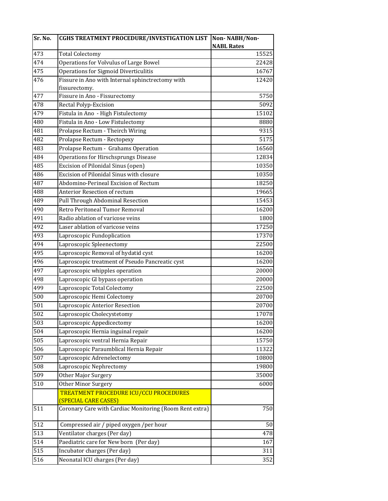| Sr. No.          | <b>CGHS TREATMENT PROCEDURE/INVESTIGATION LIST</b>      | Non-NABH/Non-     |
|------------------|---------------------------------------------------------|-------------------|
|                  |                                                         | <b>NABL Rates</b> |
| 473              | <b>Total Colectomy</b>                                  | 15525             |
| 474              | Operations for Volvulus of Large Bowel                  | 22428             |
| 475              | <b>Operations for Sigmoid Diverticulitis</b>            | 16767             |
| 476              | Fissure in Ano with Internal sphinctrectomy with        | 12420             |
|                  | fissurectomy.                                           |                   |
| 477              | Fissure in Ano - Fissurectomy                           | 5750              |
| 478              | Rectal Polyp-Excision                                   | 5092              |
| 479              | Fistula in Ano - High Fistulectomy                      | 15102             |
| 480              | Fistula in Ano - Low Fistulectomy                       | 8880              |
| 481              | Prolapse Rectum - Theirch Wiring                        | 9315              |
| 482              | Prolapse Rectum - Rectopexy                             | 5175              |
| 483              | Prolapse Rectum - Grahams Operation                     | 16560             |
| 484              | Operations for Hirschsprungs Disease                    | 12834             |
| 485              | Excision of Pilonidal Sinus (open)                      | 10350             |
| 486              | Excision of Pilonidal Sinus with closure                | 10350             |
| 487              | Abdomino-Perineal Excision of Rectum                    | 18250             |
| 488              | Anterior Resection of rectum                            | 19665             |
| 489              | Pull Through Abdominal Resection                        | 15453             |
| 490              | Retro Peritoneal Tumor Removal                          | 16200             |
| 491              | Radio ablation of varicose veins                        | 1800              |
| 492              | Laser ablation of varicose veins                        | 17250             |
| 493              | Laproscopic Fundoplication                              | 17370             |
| 494              | Laproscopic Spleenectomy                                | 22500             |
| 495              | Laproscopic Removal of hydatid cyst                     | 16200             |
| 496              | Laproscopic treatment of Pseudo Pancreatic cyst         | 16200             |
| 497              | Laproscopic whipples operation                          | 20000             |
| 498              | Laproscopic GI bypass operation                         | 20000             |
| 499              | Laproscopic Total Colectomy                             | 22500             |
| 500              | Laproscopic Hemi Colectomy                              | 20700             |
| 501              | Laproscopic Anterior Resection                          | 20700             |
| 502              | Laproscopic Cholecystetomy                              | 17078             |
| 503              | Laproscopic Appedicectomy                               | 16200             |
| 504              | Laproscopic Hernia inguinal repair                      | 16200             |
| 505              | Laproscopic ventral Hernia Repair                       | 15750             |
| 506              | Laproscopic Paraumblical Hernia Repair                  | 11322             |
| 507              | Laproscopic Adrenelectomy                               | 10800             |
| 508              | Laproscopic Nephrectomy                                 | 19800             |
| 509              | Other Major Surgery                                     | 35000             |
| 510              | <b>Other Minor Surgery</b>                              | 6000              |
|                  | TREATMENT PROCEDURE ICU/CCU PROCEDURES                  |                   |
|                  | (SPECIAL CARE CASES)                                    |                   |
| 511              | Coronary Care with Cardiac Monitoring (Room Rent extra) | 750               |
| 512              | Compressed air / piped oxygen /per hour                 | 50                |
| 513              | Ventilator charges (Per day)                            | 478               |
| 514              | Paediatric care for New born (Per day)                  | 167               |
| $\overline{515}$ | Incubator charges (Per day)                             | 311               |
| 516              | Neonatal ICU charges (Per day)                          | 352               |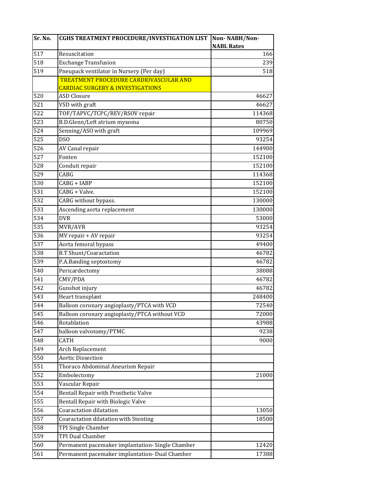| <b>NABL Rates</b><br>517<br>Resuscitation<br>518<br><b>Exchange Transfusion</b><br>519<br>Pneupack ventilator in Nursery (Per day)<br><b>TREATMENT PROCEDURE CARDIOVASCULAR AND</b><br><b>CARDIAC SURGERY &amp; INVESTIGATIONS</b><br>520<br><b>ASD Closure</b><br>521<br>VSD with graft<br>522<br>TOF/TAPVC/TCPC/REV/RSOV repair | 166<br>239<br>518<br>46627<br>46627 |
|-----------------------------------------------------------------------------------------------------------------------------------------------------------------------------------------------------------------------------------------------------------------------------------------------------------------------------------|-------------------------------------|
|                                                                                                                                                                                                                                                                                                                                   |                                     |
|                                                                                                                                                                                                                                                                                                                                   |                                     |
|                                                                                                                                                                                                                                                                                                                                   |                                     |
|                                                                                                                                                                                                                                                                                                                                   |                                     |
|                                                                                                                                                                                                                                                                                                                                   |                                     |
|                                                                                                                                                                                                                                                                                                                                   |                                     |
|                                                                                                                                                                                                                                                                                                                                   |                                     |
|                                                                                                                                                                                                                                                                                                                                   |                                     |
|                                                                                                                                                                                                                                                                                                                                   | 114368                              |
| 523<br>B.D.Glenn/Left atrium myxoma                                                                                                                                                                                                                                                                                               | 80750                               |
| 524<br>Senning/ASO with graft                                                                                                                                                                                                                                                                                                     | 109969                              |
| 525<br><b>DSO</b>                                                                                                                                                                                                                                                                                                                 | 93254                               |
| 526<br>AV Canal repair                                                                                                                                                                                                                                                                                                            | 144900                              |
| 527<br>Fonten                                                                                                                                                                                                                                                                                                                     | 152100                              |
| 528<br>Conduit repair                                                                                                                                                                                                                                                                                                             | 152100                              |
| 529<br>CABG                                                                                                                                                                                                                                                                                                                       | 114368                              |
| 530<br>CABG + IABP                                                                                                                                                                                                                                                                                                                | 152100                              |
| 531<br>CABG + Valve.                                                                                                                                                                                                                                                                                                              | 152100                              |
| 532<br>CABG without bypass.                                                                                                                                                                                                                                                                                                       | 130000                              |
| 533<br>Ascending aorta replacement                                                                                                                                                                                                                                                                                                | 130000                              |
| 534<br><b>DVR</b>                                                                                                                                                                                                                                                                                                                 | 53000                               |
| 535<br>MVR/AVR                                                                                                                                                                                                                                                                                                                    | 93254                               |
| 536<br>MV repair + AV repair                                                                                                                                                                                                                                                                                                      | 93254                               |
| 537<br>Aorta femoral bypass                                                                                                                                                                                                                                                                                                       | 49400                               |
| 538<br><b>B.T Shunt/Coaractation</b>                                                                                                                                                                                                                                                                                              | 46782                               |
| P.A.Banding septostomy<br>539                                                                                                                                                                                                                                                                                                     | 46782                               |
| 540<br>Pericardectomy                                                                                                                                                                                                                                                                                                             | 38088                               |
| 541<br>CMV/PDA                                                                                                                                                                                                                                                                                                                    | 46782                               |
| 542<br>Gunshot injury                                                                                                                                                                                                                                                                                                             | 46782                               |
| 543<br>Heart transplant                                                                                                                                                                                                                                                                                                           | 248400                              |
| 544<br>Balloon coronary angioplasty/PTCA with VCD                                                                                                                                                                                                                                                                                 | 72540                               |
| Balloon coronary angioplasty/PTCA without VCD<br>545                                                                                                                                                                                                                                                                              | 72000                               |
| 546<br>Rotablation                                                                                                                                                                                                                                                                                                                | 43988                               |
| 547<br>balloon valvotomy/PTMC                                                                                                                                                                                                                                                                                                     | 9238                                |
| $\overline{548}$<br><b>CATH</b>                                                                                                                                                                                                                                                                                                   | 9000                                |
| 549<br>Arch Replacement                                                                                                                                                                                                                                                                                                           |                                     |
| 550<br><b>Aortic Dissection</b>                                                                                                                                                                                                                                                                                                   |                                     |
| 551<br>Thoraco Abdominal Aneurism Repair                                                                                                                                                                                                                                                                                          |                                     |
| 552<br>Embolectomy                                                                                                                                                                                                                                                                                                                | 21000                               |
| 553<br>Vascular Repair                                                                                                                                                                                                                                                                                                            |                                     |
| 554<br>Bentall Repair with Prosthetic Valve                                                                                                                                                                                                                                                                                       |                                     |
| 555<br>Bentall Repair with Biologic Valve                                                                                                                                                                                                                                                                                         |                                     |
| Coaractation dilatation<br>556                                                                                                                                                                                                                                                                                                    | 13050                               |
| 557<br>Coaractation dilatation with Stenting                                                                                                                                                                                                                                                                                      | 18500                               |
| 558<br>TPI Single Chamber                                                                                                                                                                                                                                                                                                         |                                     |
| <b>TPI Dual Chamber</b><br>559                                                                                                                                                                                                                                                                                                    |                                     |
| 560<br>Permanent pacemaker implantation-Single Chamber                                                                                                                                                                                                                                                                            | 12420                               |
| 561<br>Permanent pacemaker implantation- Dual Chamber                                                                                                                                                                                                                                                                             | 17388                               |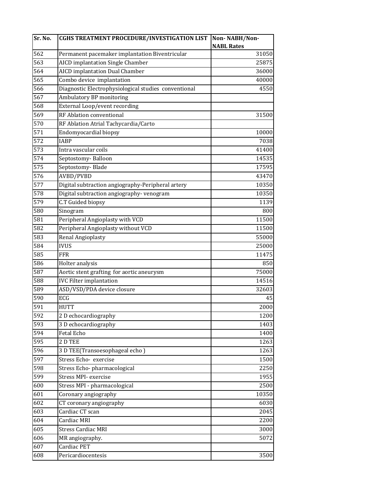| Sr. No.          | CGHS TREATMENT PROCEDURE/INVESTIGATION LIST          | Non-NABH/Non-     |
|------------------|------------------------------------------------------|-------------------|
|                  |                                                      | <b>NABL Rates</b> |
| 562              | Permanent pacemaker implantation Biventricular       | 31050             |
| 563              | <b>AICD</b> implantation Single Chamber              | 25875             |
| 564              | <b>AICD</b> implantation Dual Chamber                | 36000             |
| 565              | Combo device implantation                            | 40000             |
| 566              | Diagnostic Electrophysiological studies conventional | 4550              |
| $\overline{567}$ | <b>Ambulatory BP monitoring</b>                      |                   |
| 568              | External Loop/event recording                        |                   |
| 569              | RF Ablation conventional                             | 31500             |
| 570              | RF Ablation Atrial Tachycardia/Carto                 |                   |
| 571              | Endomyocardial biopsy                                | 10000             |
| 572              | <b>IABP</b>                                          | 7038              |
| 573              | Intra vascular coils                                 | 41400             |
| 574              | Septostomy-Balloon                                   | 14535             |
| 575              | Septostomy-Blade                                     | 17595             |
| 576              | AVBD/PVBD                                            | 43470             |
| 577              | Digital subtraction angiography-Peripheral artery    | 10350             |
| 578              | Digital subtraction angiography- venogram            | 10350             |
| 579              | C.T Guided biopsy                                    | 1139              |
| 580              | Sinogram                                             | 800               |
| 581              | Peripheral Angioplasty with VCD                      | 11500             |
| 582              | Peripheral Angioplasty without VCD                   | 11500             |
| 583              | Renal Angioplasty                                    | 55000             |
| 584              | <b>IVUS</b>                                          | 25000             |
| 585              | <b>FFR</b>                                           | 11475             |
| 586              | Holter analysis                                      | 850               |
| 587              | Aortic stent grafting for aortic aneurysm            | 75000             |
| 588              | <b>IVC Filter implantation</b>                       | 14516             |
| 589              | ASD/VSD/PDA device closure                           | 32603             |
| 590              | ECG                                                  | 45                |
| 591              | <b>HUTT</b>                                          | 2000              |
| 592              | 2 D echocardiography                                 | 1200              |
| 593              | 3 D echocardiography                                 | 1403              |
| 594              | Fetal Echo                                           | 1400              |
| 595              | 2 D TEE                                              | 1263              |
| 596              | 3 D TEE(Transoesophageal echo)                       | 1263              |
| 597              | Stress Echo- exercise                                | 1500              |
| 598              | Stress Echo-pharmacological                          | 2250              |
| 599              | Stress MPI- exercise                                 | 1955              |
| 600              | Stress MPI - pharmacological                         | 2500              |
| 601              | Coronary angiography                                 | 10350             |
| 602              | CT coronary angiography                              | 6030              |
| 603              | Cardiac CT scan                                      | 2045              |
| $\overline{604}$ | <b>Cardiac MRI</b>                                   | 2200              |
| 605              | <b>Stress Cardiac MRI</b>                            | 3000              |
| 606              | MR angiography.                                      | 5072              |
| 607              | Cardiac PET                                          |                   |
| 608              | Pericardiocentesis                                   | 3500              |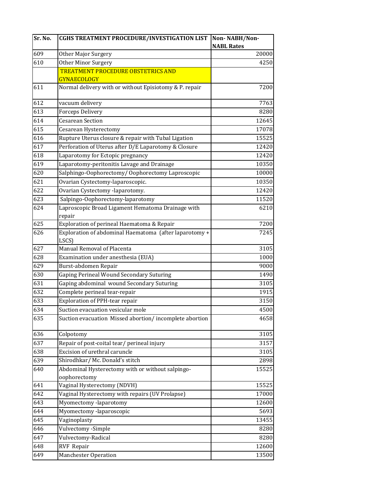| Sr. No. | <b>CGHS TREATMENT PROCEDURE/INVESTIGATION LIST</b>              | Non-NABH/Non-     |
|---------|-----------------------------------------------------------------|-------------------|
|         |                                                                 | <b>NABL Rates</b> |
| 609     | Other Major Surgery                                             | 20000             |
| 610     | Other Minor Surgery                                             | 4250              |
|         | <b>TREATMENT PROCEDURE OBSTETRICS AND</b>                       |                   |
|         | <b>GYNAECOLOGY</b>                                              |                   |
| 611     | Normal delivery with or without Episiotomy & P. repair          | 7200              |
| 612     | vacuum delivery                                                 | 7763              |
| 613     | Forceps Delivery                                                | 8280              |
| 614     | <b>Cesarean Section</b>                                         | 12645             |
| 615     | Cesarean Hysterectomy                                           | 17078             |
| 616     | Rupture Uterus closure & repair with Tubal Ligation             | 15525             |
| 617     | Perforation of Uterus after D/E Laparotomy & Closure            | 12420             |
| 618     | Laparotomy for Ectopic pregnancy                                | 12420             |
| 619     | Laparotomy-peritonitis Lavage and Drainage                      | 10350             |
| 620     | Salphingo-Oophorectomy/Oophorectomy Laproscopic                 | 10000             |
| 621     | Ovarian Cystectomy-laparoscopic.                                | 10350             |
| 622     | Ovarian Cystectomy -laparotomy.                                 | 12420             |
| 623     | Salpingo-Oophorectomy-laparotomy                                | 11520             |
| 624     | Laproscopic Broad Ligament Hematoma Drainage with               | 6210              |
|         | repair                                                          |                   |
| 625     | Exploration of perineal Haematoma & Repair                      | 7200              |
| 626     | Exploration of abdominal Haematoma (after laparotomy +<br>LSCS) | 7245              |
| 627     | Manual Removal of Placenta                                      | 3105              |
| 628     | Examination under anesthesia (EUA)                              | 1000              |
| 629     | Burst-abdomen Repair                                            | 9000              |
| 630     | Gaping Perineal Wound Secondary Suturing                        | 1490              |
| 631     | Gaping abdominal wound Secondary Suturing                       | 3105              |
| 632     | Complete perineal tear-repair                                   | 1915              |
| 633     | Exploration of PPH-tear repair                                  | 3150              |
| 634     | Suction evacuation vesicular mole                               | 4500              |
| 635     | Suction evacuation Missed abortion/incomplete abortion          | 4658              |
| 636     | Colpotomy                                                       | 3105              |
| 637     | Repair of post-coital tear/ perineal injury                     | 3157              |
| 638     | Excision of urethral caruncle                                   | 3105              |
| 639     | Shirodhkar/ Mc. Donald's stitch                                 | 2898              |
| 640     | Abdominal Hysterectomy with or without salpingo-                | 15525             |
|         | oophorectomy                                                    |                   |
| 641     | Vaginal Hysterectomy (NDVH)                                     | 15525             |
| 642     | Vaginal Hysterectomy with repairs (UV Prolapse)                 | 17000             |
| 643     | Myomectomy -laparotomy                                          | 12600             |
| 644     | Myomectomy -laparoscopic                                        | 5693              |
| 645     | Vaginoplasty                                                    | 13455             |
| 646     | Vulvectomy -Simple                                              | 8280              |
| 647     | Vulvectomy-Radical                                              | 8280              |
| 648     | RVF Repair                                                      | 12600             |
| 649     | <b>Manchester Operation</b>                                     | 13500             |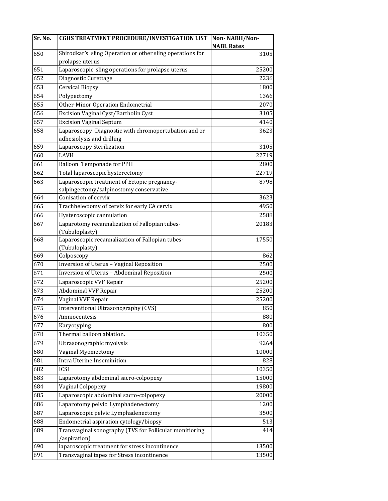| Sr. No. | <b>CGHS TREATMENT PROCEDURE/INVESTIGATION LIST</b>               | Non-NABH/Non-<br><b>NABL Rates</b> |
|---------|------------------------------------------------------------------|------------------------------------|
| 650     | Shirodkar's sling Operation or other sling operations for        | 3105                               |
|         | prolapse uterus                                                  |                                    |
| 651     | Laparoscopic sling operations for prolapse uterus                | 25200                              |
| 652     | Diagnostic Curettage                                             | 2236                               |
| 653     | <b>Cervical Biopsy</b>                                           | 1800                               |
| 654     | Polypectomy                                                      | 1366                               |
| 655     | Other-Minor Operation Endometrial                                | 2070                               |
| 656     | Excision Vaginal Cyst/Bartholin Cyst                             | 3105                               |
| 657     | <b>Excision Vaginal Septum</b>                                   | 4140                               |
| 658     | Laparoscopy -Diagnostic with chromopertubation and or            | 3623                               |
|         | adhesiolysis and drilling                                        |                                    |
| 659     | Laparoscopy Sterilization                                        | 3105                               |
| 660     | LAVH                                                             | 22719                              |
| 661     | Balloon Temponade for PPH                                        | 2800                               |
| 662     | Total laparoscopic hysterectomy                                  | 22719                              |
| 663     | Laparoscopic treatment of Ectopic pregnancy-                     | 8798                               |
|         | salpingectomy/salpinostomy conservative                          |                                    |
| 664     | Conisation of cervix                                             | 3623                               |
| 665     | Trachhelectomy of cervix for early CA cervix                     | 4950                               |
| 666     | Hysteroscopic cannulation                                        | 2588                               |
| 667     | Laparotomy recannalization of Fallopian tubes-<br>(Tubuloplasty) | 20183                              |
| 668     | Laparoscopic recannalization of Fallopian tubes-                 | 17550                              |
|         | (Tubuloplasty)                                                   |                                    |
| 669     | Colposcopy                                                       | 862                                |
| 670     | Inversion of Uterus - Vaginal Reposition                         | 2500                               |
| 671     | Inversion of Uterus - Abdominal Reposition                       | 2500                               |
| 672     | Laparoscopic VVF Repair                                          | 25200                              |
| 673     | <b>Abdominal VVF Repair</b>                                      | 25200                              |
| 674     | Vaginal VVF Repair                                               | 25200                              |
| 675     | Interventional Ultrasonography (CVS)                             | 850                                |
| 676     | Amniocentesis                                                    | 880                                |
| 677     | Karyotyping                                                      | 800                                |
| 678     | Thermal balloon ablation.                                        | 10350                              |
| 679     | Ultrasonographic myolysis                                        | 9264                               |
| 680     | Vaginal Myomectomy                                               | 10000                              |
| 681     | <b>Intra Uterine Inseminition</b>                                | 828                                |
| 682     | <b>ICSI</b>                                                      | 10350                              |
| 683     | Laparotomy abdominal sacro-colpopexy                             | 15000                              |
| 684     | Vaginal Colpopexy                                                | 19800                              |
| 685     | Laparoscopic abdominal sacro-colpopexy                           | 20000                              |
| 686     | Laparotomy pelvic Lymphadenectomy                                | 1200                               |
| 687     | Laparoscopic pelvic Lymphadenectomy                              | 3500                               |
| 688     | Endometrial aspiration cytology/biopsy                           | 513                                |
| 689     | Transvaginal sonography (TVS for Follicular monitioring          | 414                                |
|         | /aspiration)                                                     |                                    |
| 690     | laparoscopic treatment for stress incontinence                   | 13500                              |
| 691     | Transvaginal tapes for Stress incontinence                       | 13500                              |
|         |                                                                  |                                    |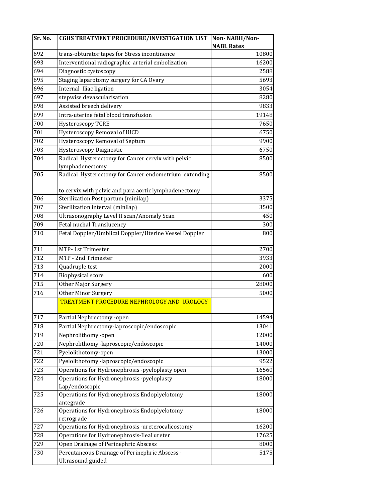| Sr. No.      | <b>CGHS TREATMENT PROCEDURE/INVESTIGATION LIST</b>    | Non-NABH/Non-     |
|--------------|-------------------------------------------------------|-------------------|
|              |                                                       | <b>NABL Rates</b> |
| 692          | trans-obturator tapes for Stress incontinence         | 10800             |
| 693          | Interventional radiographic arterial embolization     | 16200             |
| 694          | Diagnostic cystoscopy                                 | 2588              |
| 695          | Staging laparotomy surgery for CA Ovary               | 5693              |
| 696          | Internal Iliac ligation                               | 3054              |
| $\sqrt{697}$ | stepwise devascularisation                            | 8280              |
| 698          | Assisted breech delivery                              | 9833              |
| 699          | Intra-uterine fetal blood transfusion                 | 19148             |
| 700          | Hysteroscopy TCRE                                     | 7650              |
| 701          | Hysteroscopy Removal of IUCD                          | 6750              |
| 702          | Hysteroscopy Removal of Septum                        | 9900              |
| 703          | Hysteroscopy Diagnostic                               | 6750              |
| 704          | Radical Hysterectomy for Cancer cervix with pelvic    | 8500              |
|              | lymphadenectomy                                       |                   |
| 705          | Radical Hysterectomy for Cancer endometrium extending | 8500              |
|              | to cervix with pelvic and para aortic lymphadenectomy |                   |
| 706          | Sterilization Post partum (minilap)                   | 3375              |
| 707          | Sterilization interval (minilap)                      | 3500              |
| 708          | Ultrasonography Level II scan/Anomaly Scan            | 450               |
| 709          | Fetal nuchal Translucency                             | 300               |
| 710          | Fetal Doppler/Umblical Doppler/Uterine Vessel Doppler | 800               |
| 711          | MTP-1st Trimester                                     | 2700              |
| 712          | MTP - 2nd Trimester                                   | 3933              |
| 713          | Quadruple test                                        | 2000              |
| 714          | <b>Biophysical score</b>                              | 600               |
| 715          | Other Major Surgery                                   | 28000             |
| 716          | Other Minor Surgery                                   | 5000              |
|              | TREATMENT PROCEDURE NEPHROLOGY AND UROLOGY            |                   |
| 717          | Partial Nephrectomy -open                             | 14594             |
| 718          | Partial Nephrectomy-laproscopic/endoscopic            | 13041             |
| 719          | Nephrolithomy -open                                   | 12000             |
| 720          | Nephrolithomy -laproscopic/endoscopic                 | 14000             |
| 721          | Pyelolithotomy-open                                   | 13000             |
| 722          | Pyelolithotomy -laproscopic/endoscopic                | 9522              |
| 723          | Operations for Hydronephrosis -pyeloplasty open       | 16560             |
| 724          | Operations for Hydronephrosis -pyeloplasty            | 18000             |
|              | Lap/endoscopic                                        |                   |
| 725          | Operations for Hydronephrosis Endoplyelotomy          | 18000             |
|              | antegrade                                             |                   |
| 726          | Operations for Hydronephrosis Endoplyelotomy          | 18000             |
|              | retrograde                                            |                   |
| 727          | Operations for Hydronephrosis -ureterocalicostomy     | 16200             |
| 728          | Operations for Hydronephrosis-Ileal ureter            | 17625             |
| 729          | Open Drainage of Perinephric Abscess                  | 8000              |
| 730          | Percutaneous Drainage of Perinephric Abscess -        | 5175              |
|              | Ultrasound guided                                     |                   |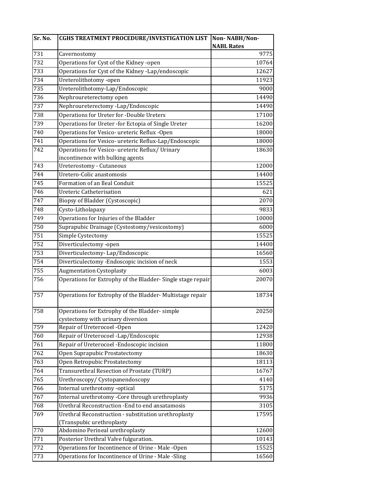| Sr. No. | <b>CGHS TREATMENT PROCEDURE/INVESTIGATION LIST</b>         | Non-NABH/Non-     |
|---------|------------------------------------------------------------|-------------------|
|         |                                                            | <b>NABL Rates</b> |
| 731     | Cavernostomy                                               | 9775              |
| 732     | Operations for Cyst of the Kidney -open                    | 10764             |
| 733     | Operations for Cyst of the Kidney -Lap/endoscopic          | 12627             |
| 734     | Ureterolithotomy-open                                      | 11923             |
| 735     | Ureterolithotomy-Lap/Endoscopic                            | 9000              |
| 736     | Nephroureterectomy open                                    | 14490             |
| 737     | Nephroureterectomy -Lap/Endoscopic                         | 14490             |
| 738     | Operations for Ureter for -Double Ureters                  | 17100             |
| 739     | Operations for Ureter -for Ectopia of Single Ureter        | 16200             |
| 740     | Operations for Vesico- ureteric Reflux -Open               | 18000             |
| 741     | Operations for Vesico- ureteric Reflux-Lap/Endoscopic      | 18000             |
| 742     | Operations for Vesico- ureteric Reflux/ Urinary            | 18630             |
|         | incontinence with bulking agents                           |                   |
| 743     | <b>Ureterostomy - Cutaneous</b>                            | 12000             |
| 744     | Uretero-Colic anastomosis                                  | 14400             |
| 745     | Formation of an Ileal Conduit                              | 15525             |
| 746     | <b>Ureteric Catheterisation</b>                            | 621               |
| 747     | Biopsy of Bladder (Cystoscopic)                            | 2070              |
| 748     | Cysto-Litholapaxy                                          | 9833              |
| 749     | Operations for Injuries of the Bladder                     | 10000             |
| 750     | Suprapubic Drainage (Cystostomy/vesicostomy)               | 6000              |
| 751     | Simple Cystectomy                                          | 15525             |
| 752     | Diverticulectomy -open                                     | 14400             |
| 753     | Diverticulectomy-Lap/Endoscopic                            | 16560             |
| 754     | Diverticulectomy -Endoscopic incision of neck              | 1553              |
| 755     | <b>Augmentation Cystoplasty</b>                            | 6003              |
| 756     | Operations for Extrophy of the Bladder-Single stage repair | 20070             |
|         |                                                            |                   |
| 757     | Operations for Extrophy of the Bladder-Multistage repair   | 18734             |
| 758     | Operations for Extrophy of the Bladder-simple              | 20250             |
|         | cystectomy with urinary diversion                          |                   |
| 759     | Repair of Ureterocoel -Open                                | 12420             |
| 760     | Repair of Ureterocoel -Lap/Endoscopic                      | 12938             |
| 761     | Repair of Ureterocoel - Endoscopic incision                | 11800             |
| 762     | Open Suprapubic Prostatectomy                              | 18630             |
| 763     | Open Retropubic Prostatectomy                              | 18113             |
| 764     | Transurethral Resection of Prostate (TURP)                 | 16767             |
| 765     | Urethroscopy/ Cystopanendoscopy                            | 4140              |
| 766     | Internal urethrotomy -optical                              | 5175              |
| 767     | Internal urethrotomy -Core through urethroplasty           | 9936              |
| 768     | Urethral Reconstruction -End to end ansatamosis            | 3105              |
| 769     | Urethral Reconstruction - substitution urethroplasty       | 17595             |
|         | (Transpubic urethroplasty                                  |                   |
| 770     | Abdomino Perineal urethroplasty                            | 12600             |
| 771     | Posterior Urethral Valve fulguration.                      | 10143             |
| 772     | Operations for Incontinence of Urine - Male -Open          | 15525             |
| 773     | Operations for Incontinence of Urine - Male -Sling         | 16560             |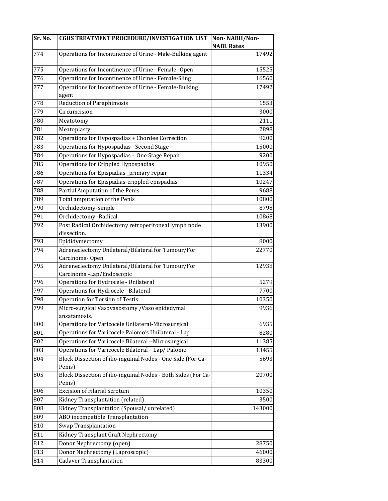| Sr. No. | <b>CGHS TREATMENT PROCEDURE/INVESTIGATION LIST</b>                      | Non-NABH/Non-     |
|---------|-------------------------------------------------------------------------|-------------------|
|         |                                                                         | <b>NABL Rates</b> |
| 774     | Operations for Incontinence of Urine - Male-Bulking agent               | 17492             |
| 775     | Operations for Incontinence of Urine - Female -Open                     | 15525             |
| 776     | Operations for Incontinence of Urine - Female-Sling                     | 16560             |
| 777     | Operations for Incontinence of Urine - Female-Bulking<br>agent          | 17492             |
| 778     | <b>Reduction of Paraphimosis</b>                                        | 1553              |
| 779     | Circumcision                                                            | 3000              |
| 780     | Meatotomy                                                               | 2111              |
| 781     | Meatoplasty                                                             | 2898              |
| 782     | Operations for Hypospadias + Chordee Correction                         | 9200              |
| 783     | Operations for Hypospadias - Second Stage                               | 15000             |
| 784     | Operations for Hypospadias - One Stage Repair                           | 9200              |
| 785     | Operations for Crippled Hypospadias                                     | 10950             |
| 786     | Operations for Epispadias _primary repair                               | 11334             |
| 787     | Operations for Epispadias-crippled epispadias                           | 10247             |
| 788     | Partial Amputation of the Penis                                         | 9688              |
| 789     | Total amputation of the Penis                                           | 10800             |
| 790     | Orchidectomy-Simple                                                     | 8798              |
| 791     | Orchidectomy - Radical                                                  | 10868             |
| 792     | Post Radical Orchidectomy retroperitoneal lymph node                    | 13900             |
|         | dissection.                                                             |                   |
| 793     | Epididymectomy                                                          | 8000              |
| 794     | Adreneclectomy Unilateral/Bilateral for Tumour/For                      | 22770             |
|         | Carcinoma-Open                                                          |                   |
| 795     | Adreneclectomy Unilateral/Bilateral for Tumour/For                      | 12938             |
|         | Carcinoma -Lap/Endoscopic                                               |                   |
| 796     | Operations for Hydrocele - Unilateral                                   | 5279              |
| 797     | Operations for Hydrocele - Bilateral                                    | 7700              |
| 798     | <b>Operation for Torsion of Testis</b>                                  | 10350             |
| 799     | Micro-surgical Vasovasostomy / Vaso epidedymal<br>ansatamosis.          | 9936              |
| 800     | Operations for Varicocele Unilateral-Microsurgical                      | 6935              |
| 801     | Operations for Varicocele Palomo's Unilateral - Lap                     | 8280              |
| 802     | Operations for Varicocele Bilateral --Microsurgical                     | 11385             |
| 803     | Operations for Varicocele Bilateral - Lap/ Palomo                       | 13455             |
| 804     | Block Dissection of ilio-inguinal Nodes - One Side (For Ca-<br>Penis)   | 5693              |
| 805     | Block Dissection of ilio-inguinal Nodes - Both Sides (For Ca-<br>Penis) | 20700             |
| 806     | <b>Excision of Filarial Scrotum</b>                                     | 10350             |
| 807     | Kidney Transplantation (related)                                        | 3500              |
| 808     | Kidney Transplantation (Spousal/unrelated)                              | 143000            |
| 809     | ABO incompatible Transplantation                                        |                   |
| 810     | Swap Transplantation                                                    |                   |
| 811     | Kidney Transplant Graft Nephrectomy                                     |                   |
| 812     | Donor Nephrectomy (open)                                                | 28750             |
| 813     | Donor Nephrectomy (Laproscopic)                                         | 46000             |
| 814     | <b>Cadaver Transplantation</b>                                          | 83300             |
|         |                                                                         |                   |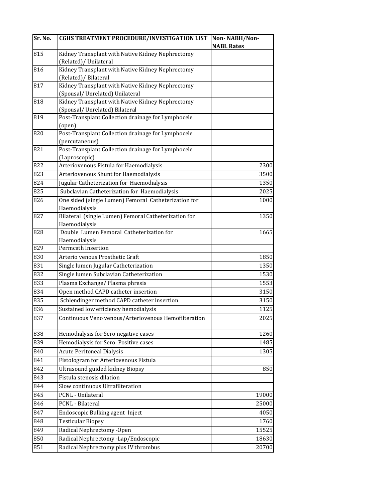| Sr. No.          | <b>CGHS TREATMENT PROCEDURE/INVESTIGATION LIST</b>                       | Non-NABH/Non-     |
|------------------|--------------------------------------------------------------------------|-------------------|
|                  |                                                                          | <b>NABL Rates</b> |
| 815              | Kidney Transplant with Native Kidney Nephrectomy                         |                   |
|                  | (Related)/ Unilateral                                                    |                   |
| 816              | Kidney Transplant with Native Kidney Nephrectomy                         |                   |
|                  | (Related)/ Bilateral<br>Kidney Transplant with Native Kidney Nephrectomy |                   |
| 817              | (Spousal/Unrelated) Unilateral                                           |                   |
| 818              | Kidney Transplant with Native Kidney Nephrectomy                         |                   |
|                  | (Spousal/Unrelated) Bilateral                                            |                   |
| 819              | Post-Transplant Collection drainage for Lymphocele                       |                   |
|                  | (open)                                                                   |                   |
| 820              | Post-Transplant Collection drainage for Lymphocele                       |                   |
|                  | (percutaneous)                                                           |                   |
| 821              | Post-Transplant Collection drainage for Lymphocele                       |                   |
|                  | (Laproscopic)                                                            |                   |
| 822              | Arteriovenous Fistula for Haemodialysis                                  | 2300              |
| $\overline{823}$ | Arteriovenous Shunt for Haemodialysis                                    | 3500              |
| 824              | Jugular Catheterization for Haemodialysis                                | 1350              |
| 825              | Subclavian Catheterization for Haemodialysis                             | 2025              |
| 826              | One sided (single Lumen) Femoral Catheterization for                     | 1000              |
|                  | Haemodialysis                                                            |                   |
| 827              | Bilateral (single Lumen) Femoral Catheterization for                     | 1350              |
|                  | Haemodialysis                                                            |                   |
| 828              | Double Lumen Femoral Catheterization for                                 | 1665              |
|                  | Haemodialysis                                                            |                   |
| 829              | Permcath Insertion                                                       |                   |
| 830              | Arterio venous Prosthetic Graft                                          | 1850              |
| 831              | Single lumen Jugular Catheterization                                     | 1350              |
| 832              | Single lumen Subclavian Catheterization                                  | 1530              |
| 833              | Plasma Exchange/ Plasma phresis                                          | 1553              |
| 834              | Open method CAPD catheter insertion                                      | 3150              |
| 835              | Schlendinger method CAPD catheter insertion                              | 3150              |
| 836              | Sustained low efficiency hemodialysis                                    | 1125              |
| 837              | Continuous Veno venous/Arteriovenous Hemofilteration                     | 2025              |
| 838              | Hemodialysis for Sero negative cases                                     | 1260              |
| 839              | Hemodialysis for Sero Positive cases                                     | 1485              |
| 840              | <b>Acute Peritoneal Dialysis</b>                                         | 1305              |
| 841              | Fistologram for Arteriovenous Fistula                                    |                   |
| 842              | Ultrasound guided kidney Biopsy                                          | 850               |
| 843              | Fistula stenosis dilation                                                |                   |
| 844              | Slow continuous Ultrafilteration                                         |                   |
| 845              | PCNL - Unilateral                                                        | 19000             |
| 846              | PCNL - Bilateral                                                         | 25000             |
| 847              | Endoscopic Bulking agent Inject                                          | 4050              |
| 848              | <b>Testicular Biopsy</b>                                                 | 1760              |
| 849              | Radical Nephrectomy -Open                                                | 15525             |
| 850              | Radical Nephrectomy -Lap/Endoscopic                                      | 18630             |
| 851              | Radical Nephrectomy plus IV thrombus                                     | 20700             |
|                  |                                                                          |                   |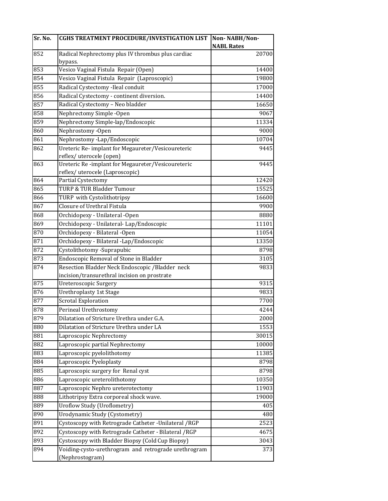| Sr. No. | <b>CGHS TREATMENT PROCEDURE/INVESTIGATION LIST</b>                           | Non-NABH/Non-              |
|---------|------------------------------------------------------------------------------|----------------------------|
| 852     |                                                                              | <b>NABL Rates</b><br>20700 |
|         | Radical Nephrectomy plus IV thrombus plus cardiac<br>bypass.                 |                            |
| 853     | Vesico Vaginal Fistula Repair (Open)                                         | 14400                      |
| 854     | Vesico Vaginal Fistula Repair (Laproscopic)                                  | 19800                      |
| 855     | Radical Cystectomy -Ileal conduit                                            | 17000                      |
| 856     | Radical Cystectomy - continent diversion.                                    | 14400                      |
| 857     | Radical Cystectomy - Neo bladder                                             | 16650                      |
| 858     | Nephrectomy Simple -Open                                                     | 9067                       |
| 859     | Nephrectomy Simple-lap/Endoscopic                                            | 11334                      |
| 860     | Nephrostomy -Open                                                            | 9000                       |
| 861     |                                                                              |                            |
|         | Nephrostomy -Lap/Endoscopic                                                  | 10704                      |
| 862     | Ureteric Re-implant for Megaureter/Vesicoureteric<br>reflex/uterocele (open) | 9445                       |
| 863     | Ureteric Re-implant for Megaureter/Vesicoureteric                            | 9445                       |
|         | reflex/uterocele (Laproscopic)                                               |                            |
| 864     | Partial Cystectomy                                                           | 12420                      |
| 865     | TURP & TUR Bladder Tumour                                                    | 15525                      |
| 866     | TURP with Cystolithotripsy                                                   | 16600                      |
| 867     | Closure of Urethral Fistula                                                  | 9900                       |
| 868     | Orchidopexy - Unilateral -Open                                               | 8880                       |
| 869     | Orchidopexy - Unilateral-Lap/Endoscopic                                      | 11101                      |
| 870     | Orchidopexy - Bilateral -Open                                                | 11054                      |
| 871     | Orchidopexy - Bilateral -Lap/Endoscopic                                      | 13350                      |
| 872     | Cystolithotomy -Suprapubic                                                   | 8798                       |
| 873     | Endoscopic Removal of Stone in Bladder                                       | 3105                       |
| 874     | Resection Bladder Neck Endoscopic / Bladder neck                             | 9833                       |
|         | incision/transurethral incision on prostrate                                 |                            |
| 875     | Ureteroscopic Surgery                                                        | 9315                       |
| 876     | Urethroplasty 1st Stage                                                      | 9833                       |
| 877     | <b>Scrotal Exploration</b>                                                   | 7700                       |
| 878     | Perineal Urethrostomy                                                        | 4244                       |
| 879     | Dilatation of Stricture Urethra under G.A.                                   | 2000                       |
| 880     | Dilatation of Stricture Urethra under LA                                     | 1553                       |
| 881     | Laproscopic Nephrectomy                                                      | 30015                      |
| 882     | Laproscopic partial Nephrectomy                                              | 10000                      |
| 883     | Laproscopic pyelolithotomy                                                   | 11385                      |
| 884     | Laproscopic Pyeloplasty                                                      | 8798                       |
| 885     | Laproscopic surgery for Renal cyst                                           | 8798                       |
| 886     | Laproscopic ureterolithotomy                                                 | 10350                      |
| 887     | Laproscopic Nephro ureterotectomy                                            | 11903                      |
| 888     |                                                                              | 19000                      |
|         | Lithotripsy Extra corporeal shock wave.                                      |                            |
| 889     | <b>Uroflow Study (Uroflometry)</b>                                           | 405                        |
| 890     | Urodynamic Study (Cystometry)                                                | 480                        |
| 891     | Cystoscopy with Retrograde Catheter - Unilateral / RGP                       | 2523                       |
| 892     | Cystoscopy with Retrograde Catheter - Bilateral / RGP                        | 4675                       |
| 893     | Cystoscopy with Bladder Biopsy (Cold Cup Biopsy)                             | 3043                       |
| 894     | Voiding-cysto-urethrogram and retrograde urethrogram<br>(Nephrostogram)      | 373                        |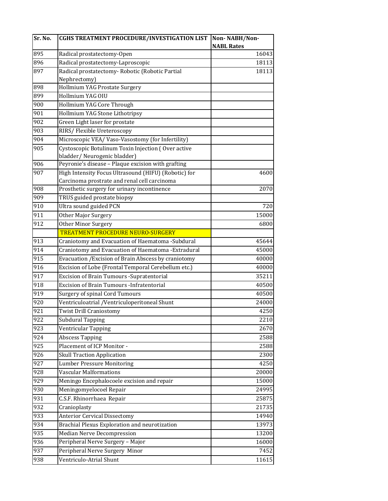| Sr. No.         | <b>CGHS TREATMENT PROCEDURE/INVESTIGATION LIST</b>   | Non-NABH/Non-     |
|-----------------|------------------------------------------------------|-------------------|
|                 |                                                      | <b>NABL Rates</b> |
| 895             | Radical prostatectomy-Open                           | 16043             |
| 896             | Radical prostatectomy-Laproscopic                    | 18113             |
| 897             | Radical prostatectomy- Robotic (Robotic Partial      | 18113             |
|                 | Nephrectomy)                                         |                   |
| 898             | Hollmium YAG Prostate Surgery                        |                   |
| 899             | Hollmium YAG OIU                                     |                   |
| 900             | Hollmium YAG Core Through                            |                   |
| 901             | Hollmium YAG Stone Lithotripsy                       |                   |
| 902             | Green Light laser for prostate                       |                   |
| 903             | RIRS/Flexible Ureteroscopy                           |                   |
| 904             | Microscopic VEA/Vaso-Vasostomy (for Infertility)     |                   |
| 905             | Cystoscopic Botulinum Toxin Injection (Over active   |                   |
|                 | bladder/Neurogenic bladder)                          |                   |
| 906             | Peyronie's disease - Plaque excision with grafting   |                   |
| 907             | High Intensity Focus Ultrasound (HIFU) (Robotic) for | 4600              |
|                 | Carcinoma prostrate and renal cell carcinoma         |                   |
| 908             | Prosthetic surgery for urinary incontinence          | 2070              |
| 909             | TRUS guided prostate biopsy                          |                   |
| 910             | Ultra sound guided PCN                               | 720               |
| $\frac{911}{ }$ | Other Major Surgery                                  | 15000             |
| 912             | Other Minor Surgery                                  | 6800              |
|                 | <b>TREATMENT PROCEDURE NEURO-SURGERY</b>             |                   |
| 913             | Craniotomy and Evacuation of Haematoma -Subdural     | 45644             |
| 914             | Craniotomy and Evacuation of Haematoma -Extradural   | 45000             |
| 915             | Evacuation / Excision of Brain Abscess by craniotomy | 40000             |
| 916             | Excision of Lobe (Frontal Temporal Cerebellum etc.)  | 40000             |
| 917             | Excision of Brain Tumours - Supratentorial           | 35211             |
| 918             | Excision of Brain Tumours - Infratentorial           | 40500             |
| 919             | <b>Surgery of spinal Cord Tumours</b>                | 40500             |
| 920             | Ventriculoatrial /Ventriculoperitoneal Shunt         | 24000             |
| 921             | <b>Twist Drill Craniostomy</b>                       | 4250              |
| 922             | <b>Subdural Tapping</b>                              | 2210              |
| 923             | Ventricular Tapping                                  | 2670              |
| 924             | <b>Abscess Tapping</b>                               | 2588              |
| 925             | Placement of ICP Monitor -                           | 2588              |
| 926             | <b>Skull Traction Application</b>                    | 2300              |
| 927             | Lumber Pressure Monitoring                           | 4250              |
| 928             | <b>Vascular Malformations</b>                        | 20000             |
| 929             | Meningo Encephalocoele excision and repair           | 15000             |
| 930             | Meningomyelocoel Repair                              | 24995             |
| 931             | C.S.F. Rhinorrhaea Repair                            | 25875             |
| 932             | Cranioplasty                                         | 21735             |
| 933             | <b>Anterior Cervical Dissectomy</b>                  | 14940             |
| 934             | Brachial Plexus Exploration and neurotization        | 13973             |
| 935             | Median Nerve Decompression                           | 13200             |
| 936             | Peripheral Nerve Surgery - Major                     | 16000             |
| 937             |                                                      | 7452              |
|                 | Peripheral Nerve Surgery Minor                       |                   |
| 938             | Ventriculo-Atrial Shunt                              | 11615             |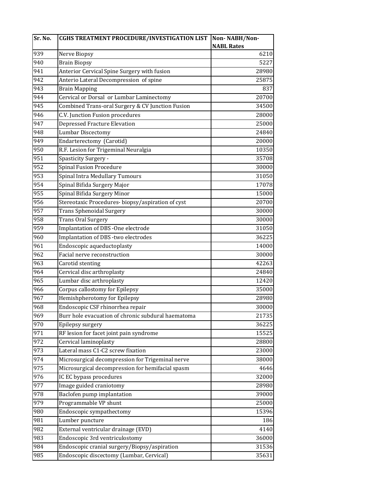| Sr. No. | CGHS TREATMENT PROCEDURE/INVESTIGATION LIST        | Non-NABH/Non-     |
|---------|----------------------------------------------------|-------------------|
|         |                                                    | <b>NABL Rates</b> |
| 939     | Nerve Biopsy                                       | 6210              |
| 940     | <b>Brain Biopsy</b>                                | 5227              |
| 941     | Anterior Cervical Spine Surgery with fusion        | 28980             |
| 942     | Anterio Lateral Decompression of spine             | 25875             |
| 943     | <b>Brain Mapping</b>                               | 837               |
| 944     | Cervical or Dorsal or Lumbar Laminectomy           | 20700             |
| 945     | Combined Trans-oral Surgery & CV Junction Fusion   | 34500             |
| 946     | C.V. Junction Fusion procedures                    | 28000             |
| 947     | <b>Depressed Fracture Elevation</b>                | 25000             |
| 948     | <b>Lumbar Discectomy</b>                           | 24840             |
| 949     | Endarterectomy (Carotid)                           | 20000             |
| 950     | R.F. Lesion for Trigeminal Neuralgia               | 10350             |
| 951     | Spasticity Surgery -                               | 35708             |
| 952     | <b>Spinal Fusion Procedure</b>                     | 30000             |
| 953     | Spinal Intra Medullary Tumours                     | 31050             |
| 954     | Spinal Bifida Surgery Major                        | 17078             |
| 955     | Spinal Bifida Surgery Minor                        | 15000             |
| 956     | Stereotaxic Procedures-biopsy/aspiration of cyst   | 20700             |
| 957     | Trans Sphenoidal Surgery                           | 30000             |
| 958     | Trans Oral Surgery                                 | 30000             |
| 959     | Implantation of DBS -One electrode                 | 31050             |
| 960     | Implantation of DBS -two electrodes                | 36225             |
| 961     | Endoscopic aqueductoplasty                         | 14000             |
| 962     | Facial nerve reconstruction                        | 30000             |
| 963     | Carotid stenting                                   | 42263             |
| 964     | Cervical disc arthroplasty                         | 24840             |
| 965     | Lumbar disc arthroplasty                           | 12420             |
| 966     | Corpus callostomy for Epilepsy                     | 35000             |
| 967     | Hemishpherotomy for Epilepsy                       | 28980             |
| 968     | Endoscopic CSF rhinorrhea repair                   | 30000             |
| 969     | Burr hole evacuation of chronic subdural haematoma | 21735             |
| 970     | Epilepsy surgery                                   | 36225             |
| 971     | RF lesion for facet joint pain syndrome            | 15525             |
| 972     | Cervical laminoplasty                              | 28800             |
| 973     | Lateral mass C1-C2 screw fixation                  | 23000             |
| 974     | Microsurgical decompression for Trigeminal nerve   | 38000             |
| 975     | Microsurgical decompression for hemifacial spasm   | 4646              |
| 976     | IC EC bypass procedures                            | 32000             |
| 977     | Image guided craniotomy                            | 28980             |
| 978     | Baclofen pump implantation                         | 39000             |
| 979     | Programmable VP shunt                              | 25000             |
| 980     | Endoscopic sympathectomy                           | 15396             |
| 981     | Lumber puncture                                    | 186               |
| 982     | External ventricular drainage (EVD)                | 4140              |
| 983     | Endoscopic 3rd ventriculostomy                     | 36000             |
| 984     | Endoscopic cranial surgery/Biopsy/aspiration       | 31536             |
| 985     | Endoscopic discectomy (Lumbar, Cervical)           | 35631             |
|         |                                                    |                   |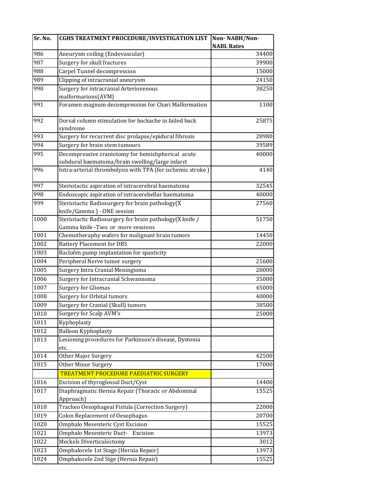| Sr. No. | <b>CGHS TREATMENT PROCEDURE/INVESTIGATION LIST</b>         | Non-NABH/Non-     |
|---------|------------------------------------------------------------|-------------------|
|         |                                                            | <b>NABL Rates</b> |
| 986     | Aneurysm coiling (Endovascular)                            | 34400             |
| 987     | Surgery for skull fractures                                | 39900             |
| 988     | Carpel Tunnel decompression                                | 15000             |
| 989     | Clipping of intracranial aneurysm                          | 24150             |
| 990     | Surgery for intracranial Arteriovenous                     | 38250             |
|         | malformarions(AVM)                                         |                   |
| 991     | Foramen magnum decompression for Chari Malformation        | 1100              |
| 992     | Dorsal column stimulation for backache in failed back      | 25875             |
|         | syndrome                                                   |                   |
| 993     | Surgery for recurrent disc prolapse/epidural fibrosis      | 28980             |
| 994     | Surgery for brain stem tumours                             | 39589             |
| 995     | Decompressive craniotomy for hemishpherical acute          | 40000             |
|         | subdural haematoma/brain swelling/large infarct            |                   |
| 996     | Intra-arterial thrombolysis with TPA (for ischemic stroke) | 4140              |
| 997     | Steriotactic aspiration of intracerebral haematoma         | 32545             |
| 998     | Endoscopic aspiration of intracerebellar haematoma         | 40000             |
| 999     | Steriotactic Radiosurgery for brain pathology(X            | 27560             |
|         | knife/Gamma) - ONE session                                 |                   |
| 1000    | Steriotactic Radiosurgery for brain pathology(X knife /    | 51750             |
|         | Gamma knife - Two or more sessions                         |                   |
| 1001    | Chemotheraphy wafers for malignant brain tumors            | 14450             |
| 1002    | <b>Battery Placement for DBS</b>                           | 22000             |
| 1003    | Baclofen pump implantation for spasticity                  |                   |
| 1004    | Peripheral Nerve tumor surgery                             | 21600             |
| 1005    | Surgery Intra Cranial Meningioma                           | 20000             |
| 1006    | Surgery for Intracranial Schwannoma                        | 35000             |
| 1007    | <b>Surgery for Gliomas</b>                                 | 45000             |
| 1008    | Surgery for Orbital tumors                                 | 40000             |
| 1009    | Surgery for Cranial (Skull) tumors                         | 38500             |
| 1010    | Surgery for Scalp AVM's                                    | 25000             |
| 1011    | Kyphoplasty                                                |                   |
| 1012    | <b>Balloon Kyphoplasty</b>                                 |                   |
| 1013    | Lesioning procedures for Parkinson's disease, Dystonia     |                   |
| 1014    | etc.<br>Other Major Surgery                                | 42500             |
| 1015    | <b>Other Minor Surgery</b>                                 | 17000             |
|         | <b>TREATMENT PROCEDURE PAEDIATRIC SURGERY</b>              |                   |
| 1016    | Excision of thyroglossal Duct/Cyst                         | 14400             |
| 1017    | Diaphragmatic Hernia Repair (Thoracic or Abdominal         | 15525             |
|         | Approach)                                                  |                   |
| 1018    | Tracheo Oesophageal Fistula (Correction Surgery)           | 22000             |
| 1019    | <b>Colon Replacement of Oesophagus</b>                     | 20700             |
| 1020    | Omphalo Mesenteric Cyst Excision                           | 15525             |
| 1021    | Omphalo Mesenteric Duct-<br>Excision                       | 13973             |
| 1022    | Meckels Diverticulectomy                                   | 3012              |
| 1023    | Omphalocele 1st Stage (Hernia Repair)                      | 13973             |
| 1024    | Omphalocele 2nd Stge (Hernia Repair)                       | 15525             |
|         |                                                            |                   |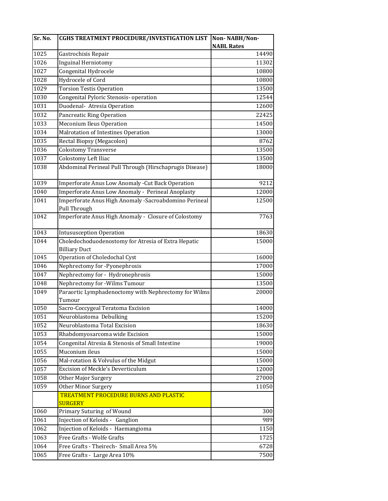| Sr. No. | <b>CGHS TREATMENT PROCEDURE/INVESTIGATION LIST</b>                          | Non-NABH/Non-     |
|---------|-----------------------------------------------------------------------------|-------------------|
|         |                                                                             | <b>NABL Rates</b> |
| 1025    | Gastrochisis Repair                                                         | 14490             |
| 1026    | <b>Inguinal Herniotomy</b>                                                  | 11302             |
| 1027    | Congenital Hydrocele                                                        | 10800             |
| 1028    | Hydrocele of Cord                                                           | 10800             |
| 1029    | <b>Torsion Testis Operation</b>                                             | 13500             |
| 1030    | Congenital Pyloric Stenosis- operation                                      | 12544             |
| 1031    | Duodenal- Atresia Operation                                                 | 12600             |
| 1032    | Pancreatic Ring Operation                                                   | 22425             |
| 1033    | <b>Meconium Ileus Operation</b>                                             | 14500             |
| 1034    | Malrotation of Intestines Operation                                         | 13000             |
| 1035    | Rectal Biopsy (Megacolon)                                                   | 8762              |
| 1036    | <b>Colostomy Transverse</b>                                                 | 13500             |
| 1037    | Colostomy Left Iliac                                                        | 13500             |
| 1038    | Abdominal Perineal Pull Through (Hirschaprugis Disease)                     | 18000             |
| 1039    | Imperforate Anus Low Anomaly - Cut Back Operation                           | 9212              |
| 1040    | Imperforate Anus Low Anomaly - Perineal Anoplasty                           | 12000             |
| 1041    | Imperforate Anus High Anomaly -Sacroabdomino Perineal<br>Pull Through       | 12500             |
| 1042    | Imperforate Anus High Anomaly - Closure of Colostomy                        | 7763              |
| 1043    | <b>Intususception Operation</b>                                             | 18630             |
| 1044    | Choledochoduodenostomy for Atresia of Extra Hepatic<br><b>Billiary Duct</b> | 15000             |
| 1045    | Operation of Choledochal Cyst                                               | 16000             |
| 1046    | Nephrectomy for -Pyonephrosis                                               | 17000             |
| 1047    | Nephrectomy for - Hydronephrosis                                            | 15000             |
| 1048    | Nephrectomy for -Wilms Tumour                                               | 13500             |
| 1049    | Paraortic Lymphadenoctomy with Nephrectomy for Wilms<br>Tumour              | 20000             |
| 1050    | Sacro-Coccygeal Teratoma Excision                                           | 14000             |
| 1051    | Neuroblastoma Debulking                                                     | 15200             |
| 1052    | Neuroblastoma Total Excision                                                | 18630             |
| 1053    | Rhabdomyosarcoma wide Excision                                              | 15000             |
| 1054    | Congenital Atresia & Stenosis of Small Intestine                            | 19000             |
| 1055    | Muconium ileus                                                              | 15000             |
| 1056    | Mal-rotation & Volvulus of the Midgut                                       | 15000             |
| 1057    | <b>Excision of Meckle's Deverticulum</b>                                    | 12000             |
| 1058    | Other Major Surgery                                                         | 27000             |
| 1059    | Other Minor Surgery                                                         | 11050             |
|         | <b>TREATMENT PROCEDURE BURNS AND PLASTIC</b><br><b>SURGERY</b>              |                   |
| 1060    | Primary Suturing of Wound                                                   | 300               |
| 1061    | Injection of Keloids - Ganglion                                             | 989               |
| 1062    | Injection of Keloids - Haemangioma                                          | 1150              |
| 1063    | Free Grafts - Wolfe Grafts                                                  | 1725              |
| 1064    | Free Grafts - Theirech- Small Area 5%                                       | 6728              |
| 1065    | Free Grafts - Large Area 10%                                                | 7500              |
|         |                                                                             |                   |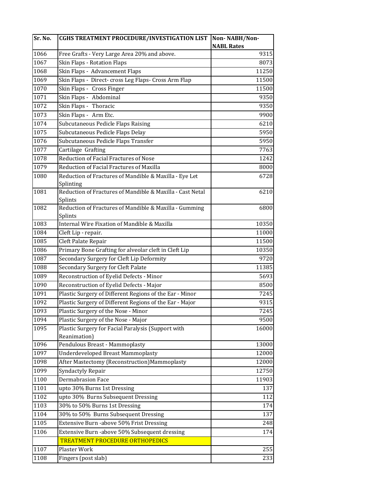| Sr. No. | <b>CGHS TREATMENT PROCEDURE/INVESTIGATION LIST</b>                   | Non-NABH/Non-     |
|---------|----------------------------------------------------------------------|-------------------|
|         |                                                                      | <b>NABL Rates</b> |
| 1066    | Free Grafts - Very Large Area 20% and above.                         | 9315              |
| 1067    | Skin Flaps - Rotation Flaps                                          | 8073              |
| 1068    | Skin Flaps - Advancement Flaps                                       | 11250             |
| 1069    | Skin Flaps - Direct- cross Leg Flaps- Cross Arm Flap                 | 11500             |
| 1070    | Skin Flaps - Cross Finger                                            | 11500             |
| 1071    | Skin Flaps - Abdominal                                               | 9350              |
| 1072    | Skin Flaps - Thoracic                                                | 9350              |
| 1073    | Skin Flaps - Arm Etc.                                                | 9900              |
| 1074    | Subcutaneous Pedicle Flaps Raising                                   | 6210              |
| 1075    | Subcutaneous Pedicle Flaps Delay                                     | 5950              |
| 1076    | Subcutaneous Pedicle Flaps Transfer                                  | 5950              |
| 1077    | Cartilage Grafting                                                   | 7763              |
| 1078    | Reduction of Facial Fractures of Nose                                | 1242              |
| 1079    | Reduction of Facial Fractures of Maxilla                             | 8000              |
| 1080    | Reduction of Fractures of Mandible & Maxilla - Eye Let<br>Splinting  | 6728              |
| 1081    | Reduction of Fractures of Mandible & Maxilla - Cast Netal<br>Splints | 6210              |
| 1082    | Reduction of Fractures of Mandible & Maxilla - Gumming               | 6800              |
|         | Splints                                                              |                   |
| 1083    | <b>Internal Wire Fixation of Mandible &amp; Maxilla</b>              | 10350             |
| 1084    | Cleft Lip - repair.                                                  | 11000             |
| 1085    | Cleft Palate Repair                                                  | 11500             |
| 1086    | Primary Bone Grafting for alveolar cleft in Cleft Lip                | 10350             |
| 1087    | Secondary Surgery for Cleft Lip Deformity                            | 9720              |
| 1088    | Secondary Surgery for Cleft Palate                                   | 11385             |
| 1089    | Reconstruction of Eyelid Defects - Minor                             | 5693              |
| 1090    | Reconstruction of Eyelid Defects - Major                             | 8500              |
| 1091    | Plastic Surgery of Different Regions of the Ear - Minor              | 7245              |
| 1092    | Plastic Surgery of Different Regions of the Ear - Major              | 9315              |
| 1093    | Plastic Surgery of the Nose - Minor                                  | 7245              |
| 1094    | Plastic Surgery of the Nose - Major                                  | 9500              |
| 1095    | Plastic Surgery for Facial Paralysis (Support with<br>Reanimation)   | 16000             |
| 1096    | Pendulous Breast - Mammoplasty                                       | 13000             |
| 1097    | <b>Underdeveloped Breast Mammoplasty</b>                             | 12000             |
| 1098    | After Mastectomy (Reconstruction) Mammoplasty                        | 12000             |
| 1099    | Syndactyly Repair                                                    | 12750             |
| 1100    | <b>Dermabrasion Face</b>                                             | 11903             |
| 1101    | upto 30% Burns 1st Dressing                                          | 137               |
| 1102    | upto 30% Burns Subsequent Dressing                                   | 112               |
| 1103    | 30% to 50% Burns 1st Dressing                                        | 174               |
| 1104    | 30% to 50% Burns Subsequent Dressing                                 | 137               |
| 1105    | Extensive Burn -above 50% Frist Dressing                             | 248               |
| 1106    | Extensive Burn -above 50% Subsequent dressing                        | 174               |
|         | <b>TREATMENT PROCEDURE ORTHOPEDICS</b>                               |                   |
| 1107    | Plaster Work                                                         | 255               |
| 1108    | Fingers (post slab)                                                  | 233               |
|         |                                                                      |                   |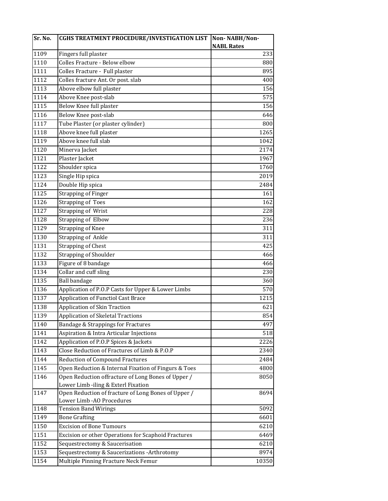| Sr. No. | <b>CGHS TREATMENT PROCEDURE/INVESTIGATION LIST</b>   | Non-NABH/Non-     |
|---------|------------------------------------------------------|-------------------|
|         |                                                      | <b>NABL Rates</b> |
| 1109    | Fingers full plaster                                 | 233               |
| 1110    | Colles Fracture - Below elbow                        | 880               |
| 1111    | Colles Fracture - Full plaster                       | 895               |
| 1112    | Colles fracture Ant. Or post. slab                   | 400               |
| 1113    | Above elbow full plaster                             | 156               |
| 1114    | Above Knee post-slab                                 | 575               |
| 1115    | Below Knee full plaster                              | 156               |
| 1116    | Below Knee post-slab                                 | 646               |
| 1117    | Tube Plaster (or plaster cylinder)                   | 800               |
| 1118    | Above knee full plaster                              | 1265              |
| 1119    | Above knee full slab                                 | 1042              |
| 1120    | Minerva Jacket                                       | 2174              |
| 1121    | Plaster Jacket                                       | 1967              |
| 1122    | Shoulder spica                                       | 1760              |
| 1123    | Single Hip spica                                     | 2019              |
| 1124    | Double Hip spica                                     | 2484              |
| 1125    | <b>Strapping of Finger</b>                           | 161               |
| 1126    | <b>Strapping of Toes</b>                             | 162               |
| 1127    | Strapping of Wrist                                   | 228               |
| 1128    | <b>Strapping of Elbow</b>                            | 236               |
| 1129    | <b>Strapping of Knee</b>                             | 311               |
| 1130    | <b>Strapping of Ankle</b>                            | 311               |
| 1131    | <b>Strapping of Chest</b>                            | 425               |
| 1132    | <b>Strapping of Shoulder</b>                         | 466               |
| 1133    | Figure of 8 bandage                                  | 466               |
| 1134    | Collar and cuff sling                                | 230               |
| 1135    | <b>Ball bandage</b>                                  | 360               |
| 1136    | Application of P.O.P Casts for Upper & Lower Limbs   | 570               |
| 1137    | Application of Functiol Cast Brace                   | 1215              |
| 1138    | <b>Application of Skin Traction</b>                  | 621               |
| 1139    | <b>Application of Skeletal Tractions</b>             | 854               |
| 1140    | Bandage & Strappings for Fractures                   | 497               |
| 1141    | Aspiration & Intra Articular Injections              | 518               |
| 1142    | Application of P.O.P Spices & Jackets                | 2226              |
| 1143    | Close Reduction of Fractures of Limb & P.O.P         | 2340              |
| 1144    | <b>Reduction of Compound Fractures</b>               | 2484              |
| 1145    | Open Reduction & Internal Fixation of Fingurs & Toes | 4800              |
| 1146    | Open Reduction offracture of Long Bones of Upper /   | 8050              |
|         | Lower Limb -iling & Exterl Fixation                  |                   |
| 1147    | Open Reduction of fracture of Long Bones of Upper /  | 8694              |
|         | Lower Limb - AO Procedures                           |                   |
| 1148    | <b>Tension Band Wirings</b>                          | 5092              |
| 1149    | <b>Bone Grafting</b>                                 | 6601              |
| 1150    | <b>Excision of Bone Tumours</b>                      | 6210              |
| 1151    | Excision or other Operations for Scaphoid Fractures  | 6469              |
| 1152    | Sequestrectomy & Saucerisation                       | 6210              |
| 1153    | Sequestrectomy & Saucerizations -Arthrotomy          | 8974              |
| 1154    | Multiple Pinning Fracture Neck Femur                 | 10350             |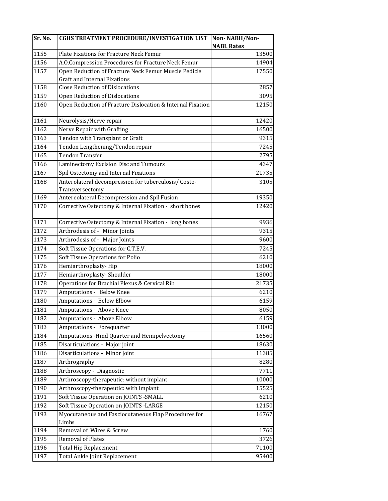| Sr. No. | <b>CGHS TREATMENT PROCEDURE/INVESTIGATION LIST</b>         | Non-NABH/Non-     |
|---------|------------------------------------------------------------|-------------------|
|         |                                                            | <b>NABL Rates</b> |
| 1155    | Plate Fixations for Fracture Neck Femur                    | 13500             |
| 1156    | A.O.Compression Procedures for Fracture Neck Femur         | 14904             |
| 1157    | Open Reduction of Fracture Neck Femur Muscle Pedicle       | 17550             |
|         | <b>Graft and Internal Fixations</b>                        |                   |
| 1158    | <b>Close Reduction of Dislocations</b>                     | 2857              |
| 1159    | Open Reduction of Dislocations                             | 3095              |
| 1160    | Open Reduction of Fracture Dislocation & Internal Fixation | 12150             |
| 1161    | Neurolysis/Nerve repair                                    | 12420             |
| 1162    | Nerve Repair with Grafting                                 | 16500             |
| 1163    | Tendon with Transplant or Graft                            | 9315              |
| 1164    | Tendon Lengthening/Tendon repair                           | 7245              |
| 1165    | <b>Tendon Transfer</b>                                     | 2795              |
| 1166    | Laminectomy Excision Disc and Tumours                      | 4347              |
| 1167    | Spil Ostectomy and Internal Fixations                      | 21735             |
| 1168    | Anterolateral decompression for tuberculosis/ Costo-       | 3105              |
| 1169    | Transversectomy                                            | 19350             |
|         | Antereolateral Decompression and Spil Fusion               |                   |
| 1170    | Corrective Ostectomy & Internal Fixation - short bones     | 12420             |
| 1171    | Corrective Ostectomy & Internal Fixation - long bones      | 9936              |
| 1172    | Arthrodesis of - Minor Joints                              | 9315              |
| 1173    | Arthrodesis of - Major Joints                              | 9600              |
| 1174    | Soft Tissue Operations for C.T.E.V.                        | 7245              |
| 1175    | Soft Tissue Operations for Polio                           | 6210              |
| 1176    | Hemiarthroplasty-Hip                                       | 18000             |
| 1177    | Hemiarthroplasty-Shoulder                                  | 18000             |
| 1178    | Operations for Brachial Plexus & Cervical Rib              | 21735             |
| 1179    | Amputations - Below Knee                                   | 6210              |
| 1180    | Amputations - Below Elbow                                  | 6159              |
| 1181    | Amputations - Above Knee                                   | 8050              |
| 1182    | Amputations - Above Elbow                                  | 6159              |
| 1183    | Amputations - Forequarter                                  | 13000             |
| 1184    | Amputations - Hind Quarter and Hemipelvectomy              | 16560             |
| 1185    | Disarticulations - Major joint                             | 18630             |
| 1186    | Disarticulations - Minor joint                             | 11385             |
| 1187    | Arthrography                                               | 8280              |
| 1188    | Arthroscopy - Diagnostic                                   | 7711              |
| 1189    | Arthroscopy-therapeutic: without implant                   | 10000             |
| 1190    | Arthroscopy-therapeutic: with implant                      | 15525             |
| 1191    | Soft Tissue Operation on JOINTS - SMALL                    | 6210              |
| 1192    | Soft Tissue Operation on JOINTS - LARGE                    | 12150             |
| 1193    | Myocutaneous and Fasciocutaneous Flap Procedures for       | 16767             |
|         | Limbs                                                      |                   |
| 1194    | Removal of Wires & Screw                                   | 1760              |
| 1195    | <b>Removal of Plates</b>                                   | 3726              |
| 1196    | <b>Total Hip Replacement</b>                               | 71100             |
| 1197    | Total Ankle Joint Replacement                              | 95400             |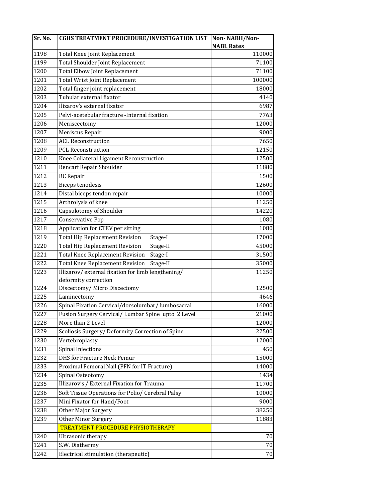| Sr. No. | <b>CGHS TREATMENT PROCEDURE/INVESTIGATION LIST</b> | Non-NABH/Non-     |
|---------|----------------------------------------------------|-------------------|
|         |                                                    | <b>NABL Rates</b> |
| 1198    | Total Knee Joint Replacement                       | 110000            |
| 1199    | Total Shoulder Joint Replacement                   | 71100             |
| 1200    | Total Elbow Joint Replacement                      | 71100             |
| 1201    | Total Wrist Joint Replacement                      | 100000            |
| 1202    | Total finger joint replacement                     | 18000             |
| 1203    | Tubular external fixator                           | 4140              |
| 1204    | Ilizarov's external fixator                        | 6987              |
| 1205    | Pelvi-acetebular fracture -Internal fixation       | 7763              |
| 1206    | Meniscectomy                                       | 12000             |
| 1207    | Meniscus Repair                                    | 9000              |
| 1208    | <b>ACL Reconstruction</b>                          | 7650              |
| 1209    | <b>PCL Reconstruction</b>                          | 12150             |
| 1210    | Knee Collateral Ligament Reconstruction            | 12500             |
| 1211    | <b>Bencarf Repair Shoulder</b>                     | 11880             |
| 1212    | RC Repair                                          | 1500              |
| 1213    | <b>Biceps tenodesis</b>                            | 12600             |
| 1214    | Distal biceps tendon repair                        | 10000             |
| 1215    | Arthrolysis of knee                                | 11250             |
| 1216    | Capsulotomy of Shoulder                            | 14220             |
| 1217    | Conservative Pop                                   | 1080              |
| 1218    | Application for CTEV per sitting                   | 1080              |
| 1219    | <b>Total Hip Replacement Revision</b><br>Stage-I   | 17000             |
| 1220    | <b>Total Hip Replacement Revision</b><br>Stage-II  | 45000             |
| 1221    | <b>Total Knee Replacement Revision</b><br>Stage-I  | 31500             |
| 1222    | <b>Total Knee Replacement Revision</b><br>Stage-II | 35000             |
| 1223    | Illizarov/external fixation for limb lengthening/  | 11250             |
|         | deformity correction                               |                   |
| 1224    | Discectomy/MicroDiscectomy                         | 12500             |
| 1225    | Laminectomy                                        | 4646              |
| 1226    | Spinal Fixation Cervical/dorsolumbar/ lumbosacral  | 16000             |
| 1227    | Fusion Surgery Cervical/ Lumbar Spine upto 2 Level | 21000             |
| 1228    | More than 2 Level                                  | 12000             |
| 1229    | Scoliosis Surgery/ Deformity Correction of Spine   | 22500             |
| 1230    | Vertebroplasty                                     | 12000             |
| 1231    | <b>Spinal Injections</b>                           | 450               |
| 1232    | <b>DHS</b> for Fracture Neck Femur                 | 15000             |
| 1233    | Proximal Femoral Nail (PFN for IT Fracture)        | 14000             |
| 1234    | Spinal Osteotomy                                   | 1434              |
| 1235    | Illizarov's / External Fixation for Trauma         | 11700             |
| 1236    | Soft Tissue Operations for Polio/ Cerebral Palsy   | 10000             |
| 1237    | Mini Fixator for Hand/Foot                         | 9000              |
| 1238    | Other Major Surgery                                | 38250             |
| 1239    | Other Minor Surgery                                | 11883             |
|         | <b>TREATMENT PROCEDURE PHYSIOTHERAPY</b>           |                   |
| 1240    | Ultrasonic therapy                                 | 70                |
| 1241    | S.W. Diathermy                                     | 70                |
| 1242    | Electrical stimulation (therapeutic)               | 70                |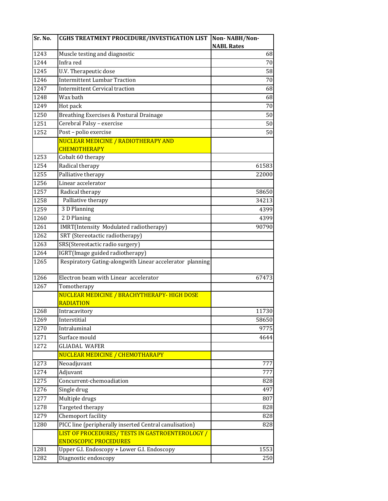| Sr. No. | <b>CGHS TREATMENT PROCEDURE/INVESTIGATION LIST</b>                              | Non-NABH/Non-     |
|---------|---------------------------------------------------------------------------------|-------------------|
|         |                                                                                 | <b>NABL Rates</b> |
| 1243    | Muscle testing and diagnostic                                                   | 68                |
| 1244    | Infra red                                                                       | 70                |
| 1245    | U.V. Therapeutic dose                                                           | 58                |
| 1246    | <b>Intermittent Lumbar Traction</b>                                             | 70                |
| 1247    | <b>Intermittent Cervical traction</b>                                           | 68                |
| 1248    | Wax bath                                                                        | 68                |
| 1249    | Hot pack                                                                        | 70                |
| 1250    | Breathing Exercises & Postural Drainage                                         | 50                |
| 1251    | Cerebral Palsy - exercise                                                       | 50                |
| 1252    | Post - polio exercise                                                           | 50                |
|         | NUCLEAR MEDICINE / RADIOTHERAPY AND                                             |                   |
|         | <b>CHEMOTHERAPY</b>                                                             |                   |
| 1253    | Cobalt 60 therapy                                                               |                   |
| 1254    | Radical therapy                                                                 | 61583             |
| 1255    | Palliative therapy                                                              | 22000             |
| 1256    | Linear accelerator                                                              |                   |
| 1257    | Radical therapy                                                                 | 58650             |
| 1258    | Palliative therapy                                                              | 34213             |
| 1259    | 3 D Planning                                                                    | 4399              |
| 1260    | 2 D Planing                                                                     | 4399              |
| 1261    | IMRT(Intensity Modulated radiotherapy)                                          | 90790             |
| 1262    | SRT (Stereotactic radiotherapy)                                                 |                   |
| 1263    | SRS(Stereotactic radio surgery)                                                 |                   |
| 1264    | IGRT(Image guided radiotherapy)                                                 |                   |
| 1265    | Respiratory Gating-alongwith Linear accelerator planning                        |                   |
| 1266    | Electron beam with Linear accelerator                                           | 67473             |
| 1267    | Tomotherapy                                                                     |                   |
|         | NUCLEAR MEDICINE / BRACHYTHERAPY- HIGH DOSE                                     |                   |
|         | <b>RADIATION</b>                                                                |                   |
| 1268    | Intracavitory                                                                   | 11730             |
| 1269    | Interstitial                                                                    | 58650             |
| 1270    | Intraluminal                                                                    | 9775              |
| 1271    | Surface mould                                                                   | 4644              |
| 1272    | <b>GLIADAL WAFER</b>                                                            |                   |
|         | NUCLEAR MEDICINE / CHEMOTHARAPY                                                 |                   |
| 1273    | Neoadjuvant                                                                     | 777               |
| 1274    | Adjuvant                                                                        | 777               |
| 1275    | Concurrent-chemoadiation                                                        | 828               |
| 1276    | Single drug                                                                     | 497               |
| 1277    | Multiple drugs                                                                  | 807               |
| 1278    | Targeted therapy                                                                | 828               |
| 1279    | Chemoport facility                                                              | 828               |
| 1280    | PICC line (peripherally inserted Central canulisation)                          | 828               |
|         | LIST OF PROCEDURES/ TESTS IN GASTROENTEROLOGY /<br><b>ENDOSCOPIC PROCEDURES</b> |                   |
| 1281    | Upper G.I. Endoscopy + Lower G.I. Endoscopy                                     | 1553              |
| 1282    | Diagnostic endoscopy                                                            | 250               |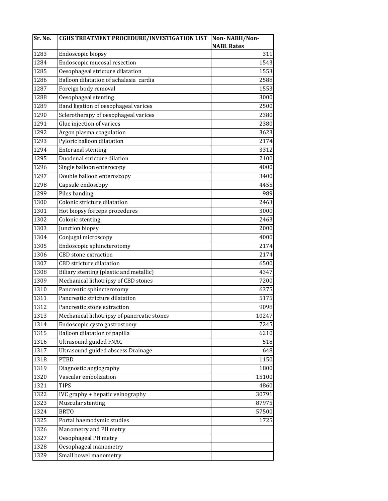| Sr. No. | <b>CGHS TREATMENT PROCEDURE/INVESTIGATION LIST</b> | Non-NABH/Non-     |
|---------|----------------------------------------------------|-------------------|
|         |                                                    | <b>NABL Rates</b> |
| 1283    | Endoscopic biopsy                                  | 311               |
| 1284    | Endoscopic mucosal resection                       | 1543              |
| 1285    | Oesophageal stricture dilatation                   | 1553              |
| 1286    | Balloon dilatation of achalasia cardia             | 2588              |
| 1287    | Foreign body removal                               | 1553              |
| 1288    | Oesophageal stenting                               | 3000              |
| 1289    | Band ligation of oesophageal varices               | 2500              |
| 1290    | Sclerotherapy of oesophageal varices               | 2380              |
| 1291    | Glue injection of varices                          | 2380              |
| 1292    | Argon plasma coagulation                           | 3623              |
| 1293    | Pyloric balloon dilatation                         | 2174              |
| 1294    | <b>Enteranal stenting</b>                          | 3312              |
| 1295    | Duodenal stricture dilation                        | 2100              |
| 1296    | Single balloon enterocopy                          | 4000              |
| 1297    | Double balloon enteroscopy                         | 3400              |
| 1298    | Capsule endoscopy                                  | 4455              |
| 1299    | Piles banding                                      | 989               |
| 1300    | Colonic stricture dilatation                       | 2463              |
| 1301    | Hot biopsy forceps procedures                      | 3000              |
| 1302    | Colonic stenting                                   | 2463              |
| 1303    | Junction biopsy                                    | 2000              |
| 1304    | Conjugal microscopy                                | 4000              |
| 1305    | Endoscopic sphincterotomy                          | 2174              |
| 1306    | <b>CBD</b> stone extraction                        | 2174              |
| 1307    | CBD stricture dilatation                           | 6500              |
| 1308    | Biliary stenting (plastic and metallic)            | 4347              |
| 1309    | Mechanical lithotripsy of CBD stones               | 7200              |
| 1310    | Pancreatic sphincterotomy                          | 6375              |
| 1311    | Pancreatic stricture dilatation                    | 5175              |
| 1312    | Pancreatic stone extraction                        | 9098              |
| 1313    | Mechanical lithotripsy of pancreatic stones        | 10247             |
| 1314    | Endoscopic cysto gastrostomy                       | 7245              |
| 1315    | Balloon dilatation of papilla                      | 6210              |
| 1316    | <b>Ultrasound guided FNAC</b>                      | 518               |
| 1317    | Ultrasound guided abscess Drainage                 | 648               |
| 1318    | <b>PTBD</b>                                        | 1150              |
| 1319    | Diagnostic angiography                             | 1800              |
| 1320    | Vascular embolization                              | 15100             |
| 1321    | <b>TIPS</b>                                        | 4860              |
| 1322    | IVC graphy + hepatic veinography                   | 30791             |
| 1323    | Muscular stenting                                  | 87975             |
| 1324    | <b>BRTO</b>                                        | 57500             |
| 1325    | Portal haemodymic studies                          | 1725              |
| 1326    | Manometry and PH metry                             |                   |
| 1327    | Oesophageal PH metry                               |                   |
| 1328    | Oesophageal manometry                              |                   |
| 1329    | Small bowel manometry                              |                   |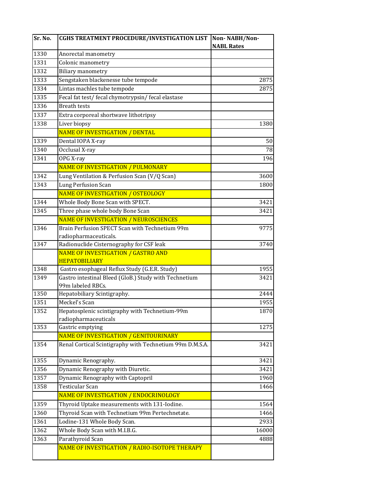| Sr. No. | <b>CGHS TREATMENT PROCEDURE/INVESTIGATION LIST</b>         | Non-NABH/Non-     |
|---------|------------------------------------------------------------|-------------------|
|         |                                                            | <b>NABL Rates</b> |
| 1330    | Anorectal manometry                                        |                   |
| 1331    | Colonic manometry                                          |                   |
| 1332    | <b>Biliary manometry</b>                                   |                   |
| 1333    | Sengstaken blackenesse tube tempode                        | 2875              |
| 1334    | Lintas machles tube tempode                                | 2875              |
| 1335    | Fecal fat test/ fecal chymotrypsin/ fecal elastase         |                   |
| 1336    | <b>Breath tests</b>                                        |                   |
| 1337    | Extra corporeal shortwave lithotripsy                      |                   |
| 1338    | Liver biopsy                                               | 1380              |
|         | <b>NAME OF INVESTIGATION / DENTAL</b>                      |                   |
| 1339    | Dental IOPA X-ray                                          | 50                |
| 1340    | Occlusal X-ray                                             | 78                |
| 1341    | OPG X-ray                                                  | 196               |
|         | NAME OF INVESTIGATION / PULMONARY                          |                   |
| 1342    | Lung Ventilation & Perfusion Scan (V/Q Scan)               | 3600              |
| 1343    | Lung Perfusion Scan                                        | 1800              |
|         | NAME OF INVESTIGATION / OSTEOLOGY                          |                   |
| 1344    | Whole Body Bone Scan with SPECT.                           | 3421              |
| 1345    | Three phase whole body Bone Scan                           | 3421              |
|         | NAME OF INVESTIGATION / NEUROSCIENCES                      |                   |
| 1346    | Brain Perfusion SPECT Scan with Technetium 99m             | 9775              |
|         | radiopharmaceuticals.                                      |                   |
| 1347    | Radionuclide Cisternography for CSF leak                   | 3740              |
|         | NAME OF INVESTIGATION / GASTRO AND<br><b>HEPATOBILIARY</b> |                   |
| 1348    | Gastro esophageal Reflux Study (G.E.R. Study)              | 1955              |
| 1349    | Gastro intestinal Bleed (GloB.) Study with Technetium      | 3421              |
|         | 99m labeled RBCs.                                          |                   |
| 1350    | Hepatobiliary Scintigraphy.                                | 2444              |
| 1351    | Meckel's Scan                                              | 1955              |
| 1352    | Hepatosplenic scintigraphy with Technetium-99m             | 1870              |
|         | radiopharmaceuticals                                       |                   |
| 1353    | Gastric emptying                                           | 1275              |
|         | NAME OF INVESTIGATION / GENITOURINARY                      |                   |
| 1354    | Renal Cortical Scintigraphy with Technetium 99m D.M.S.A.   | 3421              |
| 1355    | Dynamic Renography.                                        | 3421              |
| 1356    | Dynamic Renography with Diuretic.                          | 3421              |
| 1357    | Dynamic Renography with Captopril                          | 1960              |
| 1358    | Testicular Scan                                            | 1466              |
|         | NAME OF INVESTIGATION / ENDOCRINOLOGY                      |                   |
| 1359    | Thyroid Uptake measurements with 131-Iodine.               | 1564              |
| 1360    | Thyroid Scan with Technetium 99m Pertechnetate.            | 1466              |
| 1361    | Lodine-131 Whole Body Scan.                                | 2933              |
| 1362    | Whole Body Scan with M.I.B.G.                              | 16000             |
| 1363    | Parathyroid Scan                                           | 4888              |
|         | NAME OF INVESTIGATION / RADIO-ISOTOPE THERAPY              |                   |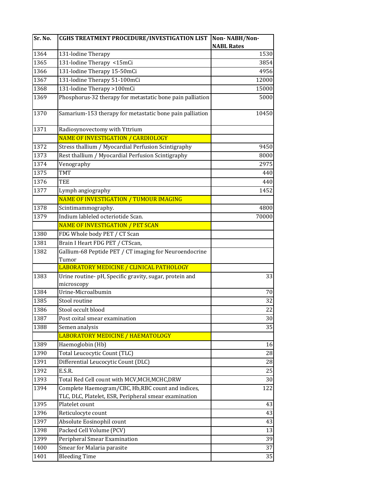| Sr. No. | <b>CGHS TREATMENT PROCEDURE/INVESTIGATION LIST</b>                    | Non-NABH/Non-     |
|---------|-----------------------------------------------------------------------|-------------------|
|         |                                                                       | <b>NABL Rates</b> |
| 1364    | 131-lodine Therapy                                                    | 1530              |
| 1365    | 131-lodine Therapy <15mCi                                             | 3854              |
| 1366    | 131-lodine Therapy 15-50mCi                                           | 4956              |
| 1367    | 131-lodine Therapy 51-100mCi                                          | 12000             |
| 1368    | 131-lodine Therapy >100mCi                                            | 15000             |
| 1369    | Phosphorus-32 therapy for metastatic bone pain palliation             | 5000              |
| 1370    | Samarium-153 therapy for metastatic bone pain palliation              | 10450             |
| 1371    | Radiosynovectomy with Yttrium                                         |                   |
|         | NAME OF INVESTIGATION / CARDIOLOGY                                    |                   |
| 1372    | Stress thallium / Myocardial Perfusion Scintigraphy                   | 9450              |
| 1373    | Rest thallium / Myocardial Perfusion Scintigraphy                     | 8000              |
| 1374    | Venography                                                            | 2975              |
| 1375    | <b>TMT</b>                                                            | 440               |
| 1376    | TEE                                                                   | 440               |
| 1377    | Lymph angiography                                                     | 1452              |
|         | NAME OF INVESTIGATION / TUMOUR IMAGING                                |                   |
| 1378    | Scintimammography.                                                    | 4800              |
| 1379    | Indium lableled octeriotide Scan.                                     | 70000             |
|         | <b>NAME OF INVESTIGATION / PET SCAN</b>                               |                   |
| 1380    | FDG Whole body PET / CT Scan                                          |                   |
| 1381    | Brain I Heart FDG PET / CTScan,                                       |                   |
| 1382    | Gallium-68 Peptide PET / CT imaging for Neuroendocrine                |                   |
|         | Tumor                                                                 |                   |
|         | LABORATORY MEDICINE / CLINICAL PATHOLOGY                              |                   |
| 1383    | Urine routine- pH, Specific gravity, sugar, protein and<br>microscopy | 33                |
| 1384    | Urine-Microalbumin                                                    | 70                |
| 1385    | Stool routine                                                         | 32                |
| 1386    | Stool occult blood                                                    | 22                |
| 1387    | Post coital smear examination                                         | $30\,$            |
| 1388    | Semen analysis                                                        | 35                |
|         | LABORATORY MEDICINE / HAEMATOLOGY                                     |                   |
| 1389    | Haemoglobin (Hb)                                                      | 16                |
| 1390    | Total Leucocytic Count (TLC)                                          | 28                |
| 1391    | Differential Leucocytic Count (DLC)                                   | 28                |
| 1392    | E.S.R.                                                                | 25                |
| 1393    | Total Red Cell count with MCV, MCH, MCHC, DRW                         | 30                |
| 1394    | Complete Haemogram/CBC, Hb,RBC count and indices,                     | 122               |
|         | TLC, DLC, Platelet, ESR, Peripheral smear examination                 |                   |
| 1395    | Platelet count                                                        | 43                |
| 1396    | Reticulocyte count                                                    | 43                |
| 1397    | Absolute Eosinophil count                                             | 43                |
| 1398    | Packed Cell Volume (PCV)                                              | 13                |
| 1399    | Peripheral Smear Examination                                          | 39                |
| 1400    | Smear for Malaria parasite                                            | 37                |
| 1401    | <b>Bleeding Time</b>                                                  | 35                |
|         |                                                                       |                   |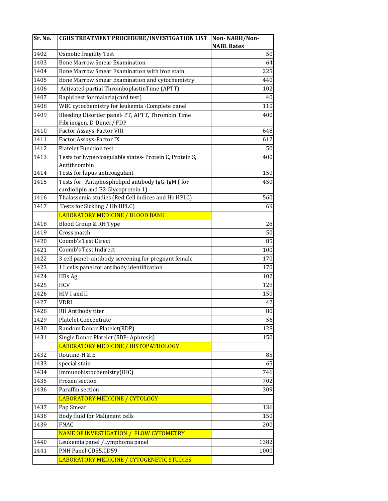| Sr. No. | <b>CGHS TREATMENT PROCEDURE/INVESTIGATION LIST</b>                          | Non-NABH/Non-     |
|---------|-----------------------------------------------------------------------------|-------------------|
|         |                                                                             | <b>NABL Rates</b> |
| 1402    | <b>Osmotic fragility Test</b>                                               | 50                |
| 1403    | <b>Bone Marrow Smear Examination</b>                                        | 64                |
| 1404    | Bone Marrow Smear Examination with iron stain                               | 225               |
| 1405    | Bone Marrow Smear Examination and cytochemistry                             | 440               |
| 1406    | Activated partial ThromboplastinTime (APTT)                                 | 102               |
| 1407    | Rapid test for malaria(card test)                                           | 40                |
| 1408    | WBC cytochemistry for leukemia - Complete panel                             | 110               |
| 1409    | Bleeding Disorder panel- PT, APTT, Thrombin Time<br>Fibrinogen, D-Dimer/FDP | 400               |
| 1410    | Factor Assays-Factor VIII                                                   | 648               |
| 1411    | Factor Assays-Factor IX                                                     | 612               |
| 1412    | <b>Platelet Function test</b>                                               | 50                |
| 1413    | Tests for hypercoagulable states- Protein C, Protein S,<br>Antithrombin     | 400               |
| 1414    | Tests for lupus anticoagulant                                               | 150               |
| 1415    | Tests for Antiphospholipid antibody IgG, IgM (for                           | 450               |
|         | cardiolipin and B2 Glycoprotein 1)                                          |                   |
| 1416    | Thalassemia studies (Red Cell indices and Hb HPLC)                          | 560               |
| 1417    | Tests for Sickling / Hb HPLC)                                               | 69                |
|         | <b>LABORATORY MEDICINE / BLOOD BANK</b>                                     |                   |
| 1418    | Blood Group & RH Type                                                       | 28                |
| 1419    | Cross match                                                                 | 50                |
| 1420    | Coomb's Test Direct                                                         | 85                |
| 1421    | Coomb's Test Indirect                                                       | 100               |
| 1422    | 3 cell panel- antibody screening for pregnant female                        | 170               |
| 1423    | 11 cells panel for antibody identification                                  | 170               |
| 1424    | HBs Ag                                                                      | 102               |
| 1425    | <b>HCV</b>                                                                  | 128               |
| 1426    | HIV I and II                                                                | 150               |
| 1427    | <b>VDRL</b>                                                                 | 42                |
| 1428    | RH Antibody titer                                                           | 80                |
| 1429    | Platelet Concentrate                                                        | 56                |
| 1430    | Random Donor Platelet(RDP)                                                  | 128               |
| 1431    | Single Donor Platelet (SDP-Aphresis)                                        | 150               |
|         | LABORATORY MEDICINE / HISTOPATHOLOGY                                        |                   |
| 1432    | Routine-H & E                                                               | 85                |
| 1433    | special stain                                                               | 65                |
| 1434    | Immunohistochemistry(IHC)                                                   | 746               |
| 1435    | Frozen section                                                              | 702               |
| 1436    | Paraffin section                                                            | 309               |
|         | <b>LABORATORY MEDICINE / CYTOLOGY</b>                                       |                   |
| 1437    | Pap Smear                                                                   | 136               |
| 1438    | Body fluid for Malignant cells                                              | 150               |
| 1439    | <b>FNAC</b>                                                                 | 200               |
|         | NAME OF INVESTIGATION / FLOW CYTOMETRY                                      |                   |
| 1440    | Leukemia panel / Lymphoma panel                                             | 1382              |
| 1441    | PNH Panel-CD55,CD59                                                         | 1000              |
|         | LABORATORY MEDICINE / CYTOGENETIC STUDIES                                   |                   |
|         |                                                                             |                   |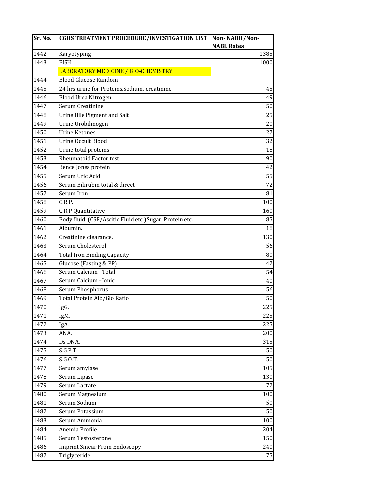| Sr. No. | <b>CGHS TREATMENT PROCEDURE/INVESTIGATION LIST</b>      | Non-NABH/Non-     |
|---------|---------------------------------------------------------|-------------------|
|         |                                                         | <b>NABL Rates</b> |
| 1442    | Karyotyping                                             | 1385              |
| 1443    | <b>FISH</b>                                             | 1000              |
|         | LABORATORY MEDICINE / BIO-CHEMISTRY                     |                   |
| 1444    | <b>Blood Glucose Random</b>                             |                   |
| 1445    | 24 hrs urine for Proteins, Sodium, creatinine           | 45                |
| 1446    | Blood Urea Nitrogen                                     | 49                |
| 1447    | Serum Creatinine                                        | 50                |
| 1448    | Urine Bile Pigment and Salt                             | 25                |
| 1449    | Urine Urobilinogen                                      | 20                |
| 1450    | <b>Urine Ketones</b>                                    | 27                |
| 1451    | Urine Occult Blood                                      | 32                |
| 1452    | Urine total proteins                                    | 18                |
| 1453    | Rheumatoid Factor test                                  | 90                |
| 1454    | Bence Jones protein                                     | 42                |
| 1455    | Serum Uric Acid                                         | 55                |
| 1456    | Serum Bilirubin total & direct                          | 72                |
| 1457    | Serum Iron                                              | 81                |
| 1458    | C.R.P.                                                  | 100               |
| 1459    | C.R.P Quantitative                                      | 160               |
| 1460    | Body fluid (CSF/Ascitic Fluid etc.) Sugar, Protein etc. | 85                |
| 1461    | Albumin.                                                | 18                |
| 1462    | Creatinine clearance.                                   | 130               |
| 1463    | Serum Cholesterol                                       | 56                |
| 1464    | <b>Total Iron Binding Capacity</b>                      | 80                |
| 1465    | Glucose (Fasting & PP)                                  | 42                |
| 1466    | Serum Calcium - Total                                   | 54                |
| 1467    | Serum Calcium - Ionic                                   | 40                |
| 1468    | Serum Phosphorus                                        | 56                |
| 1469    | Total Protein Alb/Glo Ratio                             | 50                |
| 1470    | IgG.                                                    | 225               |
| 1471    | IgM.                                                    | 225               |
| 1472    | IgA.                                                    | 225               |
| 1473    | ANA.                                                    | 200               |
| 1474    | Ds DNA.                                                 | 315               |
| 1475    | S.G.P.T.                                                | 50                |
| 1476    | S.G.O.T.                                                | 50                |
| 1477    | Serum amylase                                           | 105               |
| 1478    | Serum Lipase                                            | 130               |
| 1479    | Serum Lactate                                           | 72                |
| 1480    | Serum Magnesium                                         | 100               |
| 1481    | Serum Sodium                                            | 50                |
| 1482    | Serum Potassium                                         | 50                |
| 1483    | Serum Ammonia                                           | 100               |
| 1484    | Anemia Profile                                          | 204               |
| 1485    | Serum Testosterone                                      | 150               |
| 1486    | <b>Imprint Smear From Endoscopy</b>                     | 240               |
| 1487    | Triglyceride                                            | 75                |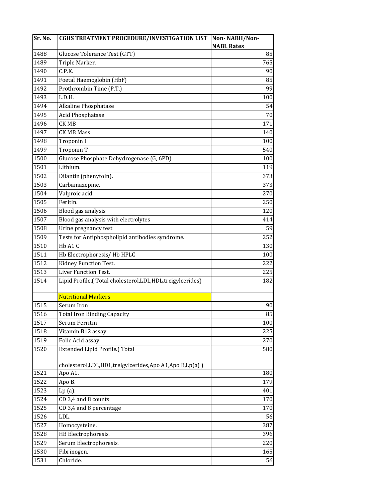| Sr. No. | <b>CGHS TREATMENT PROCEDURE/INVESTIGATION LIST</b>            | Non-NABH/Non-     |
|---------|---------------------------------------------------------------|-------------------|
|         |                                                               | <b>NABL Rates</b> |
| 1488    | Glucose Tolerance Test (GTT)                                  | 85                |
| 1489    | Triple Marker.                                                | 765               |
| 1490    | C.P.K.                                                        | 90                |
| 1491    | Foetal Haemoglobin (HbF)                                      | 85                |
| 1492    | Prothrombin Time (P.T.)                                       | 99                |
| 1493    | L.D.H.                                                        | 100               |
| 1494    | Alkaline Phosphatase                                          | 54                |
| 1495    | Acid Phosphatase                                              | 70                |
| 1496    | CK MB                                                         | 171               |
| 1497    | <b>CK MB Mass</b>                                             | 140               |
| 1498    | Troponin I                                                    | 100               |
| 1499    | Troponin T                                                    | 540               |
| 1500    | Glucose Phosphate Dehydrogenase (G, 6PD)                      | 100               |
| 1501    | Lithium.                                                      | 119               |
| 1502    | Dilantin (phenytoin).                                         | 373               |
| 1503    | Carbamazepine.                                                | 373               |
| 1504    | Valproic acid.                                                | 270               |
| 1505    | Feritin.                                                      | 250               |
| 1506    | Blood gas analysis                                            | 120               |
| 1507    | Blood gas analysis with electrolytes                          | 414               |
| 1508    | Urine pregnancy test                                          | 59                |
| 1509    | Tests for Antiphospholipid antibodies syndrome.               | 252               |
| 1510    | Hb A1 C                                                       | 130               |
| 1511    | Hb Electrophoresis/Hb HPLC                                    | 100               |
| 1512    | Kidney Function Test.                                         | 222               |
| 1513    | Liver Function Test.                                          | 225               |
| 1514    | Lipid Profile.(Total cholesterol, LDL, HDL, treigylcerides)   | 182               |
|         |                                                               |                   |
|         | <b>Nutritional Markers</b>                                    |                   |
| 1515    | Serum Iron                                                    | 90                |
| 1516    | <b>Total Iron Binding Capacity</b>                            | 85                |
| 1517    | Serum Ferritin                                                | 100               |
| 1518    | Vitamin B12 assay.                                            | 225               |
| 1519    | Folic Acid assay.                                             | 270               |
| 1520    | Extended Lipid Profile.(Total                                 | 580               |
|         |                                                               |                   |
|         | cholesterol, LDL, HDL, treigylcerides, Apo A1, Apo B, Lp(a) ) |                   |
| 1521    | Apo A1.                                                       | 180               |
| 1522    | Apo B.                                                        | 179               |
| 1523    | $Lp(a)$ .                                                     | 401               |
| 1524    | CD 3,4 and 8 counts                                           | 170               |
| 1525    | CD 3,4 and 8 percentage                                       | 170               |
| 1526    | LDL.                                                          | 56                |
| 1527    | Homocysteine.                                                 | 387               |
| 1528    | HB Electrophoresis.                                           | 396               |
| 1529    | Serum Electrophoresis.                                        | 220               |
| 1530    | Fibrinogen.                                                   | 165               |
| 1531    | Chloride.                                                     | 56                |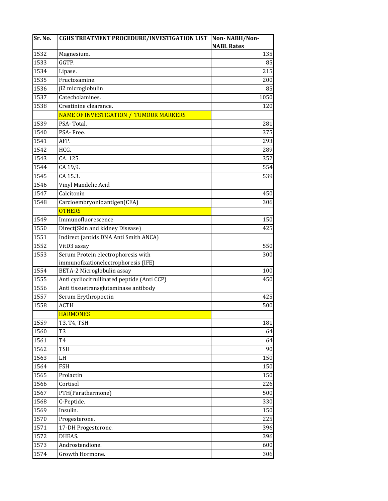| Sr. No. | <b>CGHS TREATMENT PROCEDURE/INVESTIGATION LIST</b> | Non-NABH/Non-     |
|---------|----------------------------------------------------|-------------------|
|         |                                                    | <b>NABL Rates</b> |
| 1532    | Magnesium.                                         | 135               |
| 1533    | GGTP.                                              | 85                |
| 1534    | Lipase.                                            | 215               |
| 1535    | Fructosamine.                                      | 200               |
| 1536    | β2 microglobulin                                   | 85                |
| 1537    | Catecholamines.                                    | 1050              |
| 1538    | Creatinine clearance.                              | 120               |
|         | NAME OF INVESTIGATION / TUMOUR MARKERS             |                   |
| 1539    | PSA-Total.                                         | 281               |
| 1540    | PSA-Free.                                          | 375               |
| 1541    | AFP.                                               | 293               |
| 1542    | HCG.                                               | 289               |
| 1543    | CA.125.                                            | 352               |
| 1544    | CA 19,9.                                           | 554               |
| 1545    | CA 15.3.                                           | 539               |
| 1546    | Vinyl Mandelic Acid                                |                   |
| 1547    | Calcitonin                                         | 450               |
| 1548    | Carcioembryonic antigen(CEA)                       | 306               |
|         | <b>OTHERS</b>                                      |                   |
| 1549    | Immunofluorescence                                 | 150               |
| 1550    | Direct(Skin and kidney Disease)                    | 425               |
| 1551    | Indirect (antids DNA Anti Smith ANCA)              |                   |
| 1552    | VitD3 assay                                        | 550               |
| 1553    | Serum Protein electrophoresis with                 | 300               |
|         | immunofixationelectrophoresis (IFE)                |                   |
| 1554    | BETA-2 Microglobulin assay                         | 100               |
| 1555    | Anti cycliocitrullinated peptide (Anti CCP)        | 450               |
| 1556    | Anti tissuetransglutaminase antibody               |                   |
| 1557    | Serum Erythropoetin                                | 425               |
| 1558    | ACTH                                               | 500               |
|         | <b>HARMONES</b>                                    |                   |
| 1559    | T3, T4, TSH                                        | 181               |
| 1560    | T3                                                 | 64                |
| 1561    | T <sub>4</sub>                                     | 64                |
| 1562    | TSH                                                | 90                |
| 1563    | LH                                                 | 150               |
| 1564    | <b>FSH</b>                                         | 150               |
| 1565    | Prolactin                                          | 150               |
| 1566    | Cortisol                                           | 226               |
| 1567    | PTH(Paratharmone)                                  | 500               |
| 1568    | C-Peptide.                                         | 330               |
| 1569    | Insulin.                                           | 150               |
| 1570    | Progesterone.                                      | 225               |
| 1571    | 17-DH Progesterone.                                | 396               |
| 1572    | DHEAS.                                             | 396               |
| 1573    | Androstendione.                                    | 600               |
| 1574    | Growth Hormone.                                    | 306               |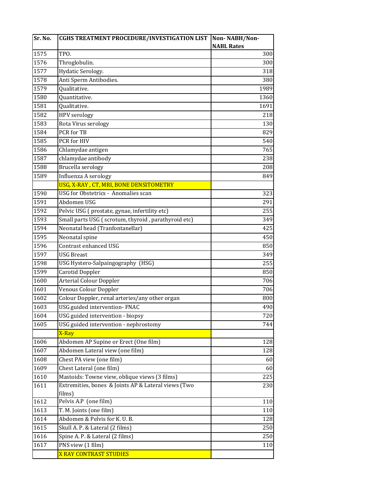| Sr. No. | <b>CGHS TREATMENT PROCEDURE/INVESTIGATION LIST</b>  | Non-NABH/Non-     |
|---------|-----------------------------------------------------|-------------------|
|         |                                                     | <b>NABL Rates</b> |
| 1575    | TPO.                                                | 300               |
| 1576    | Throglobulin.                                       | 300               |
| 1577    | Hydatic Serology.                                   | 318               |
| 1578    | Anti Sperm Antibodies.                              | 380               |
| 1579    | Qualitative.                                        | 1989              |
| 1580    | Quantitative.                                       | 1360              |
| 1581    | Qualitative.                                        | 1691              |
| 1582    | <b>HPV</b> serology                                 | 218               |
| 1583    | Rota Virus serology                                 | 130               |
| 1584    | PCR for TB                                          | 829               |
| 1585    | PCR for HIV                                         | 540               |
| 1586    | Chlamydae antigen                                   | 765               |
| 1587    | chlamydae antibody                                  | 238               |
| 1588    | Brucella serology                                   | 208               |
| 1589    | Influenza A serology                                | 849               |
|         | USG, X-RAY, CT, MRI, BONE DENSITOMETRY              |                   |
| 1590    | USG for Obstetrics - Anomalies scan                 | 323               |
| 1591    | Abdomen USG                                         | 291               |
| 1592    | Pelvic USG (prostate, gynae, infertility etc)       | 255               |
| 1593    | Small parts USG (scrotum, thyroid, parathyroid etc) | 349               |
| 1594    | Neonatal head (Tranfontanellar)                     | 425               |
| 1595    | Neonatal spine                                      | 450               |
| 1596    | Contrast enhanced USG                               | 850               |
| 1597    | <b>USG Breast</b>                                   | 349               |
| 1598    | USG Hystero-Salpaingography (HSG)                   | 255               |
| 1599    | Carotid Doppler                                     | 850               |
| 1600    | <b>Arterial Colour Doppler</b>                      | 706               |
| 1601    | Venous Colour Doppler                               | 706               |
| 1602    | Colour Doppler, renal arteries/any other organ      | 800               |
| 1603    | USG guided intervention- FNAC                       | 490               |
| 1604    | USG guided intervention - biopsy                    | 720               |
| 1605    | USG guided intervention - nephrostomy               | 744               |
|         | X-Ray                                               |                   |
| 1606    | Abdomen AP Supine or Erect (One film)               | 128               |
| 1607    | Abdomen Lateral view (one film)                     | 128               |
| 1608    | Chest PA view (one film)                            | 60                |
| 1609    | Chest Lateral (one film)                            | 60                |
| 1610    | Mastoids: Towne view, oblique views (3 films)       | 225               |
| 1611    | Extremities, bones & Joints AP & Lateral views (Two | 230               |
|         | films)                                              |                   |
| 1612    | Pelvis A.P (one film)                               | 110               |
| 1613    | T. M. Joints (one film)                             | 110               |
| 1614    | Abdomen & Pelvis for K. U. B.                       | 128               |
| 1615    | Skull A. P. & Lateral (2 films)                     | 250               |
| 1616    | Spine A. P. & Lateral (2 films)                     | 250               |
| 1617    | PNS view (1 film)                                   | 110               |
|         | <b>X RAY CONTRAST STUDIES</b>                       |                   |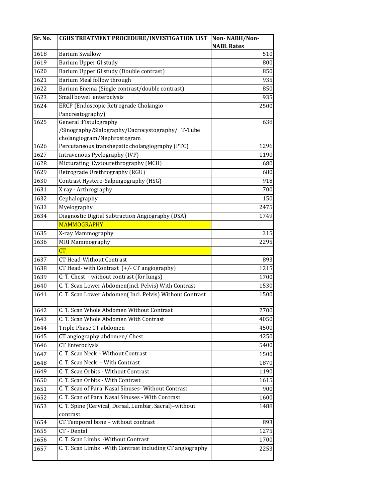| Sr. No. | <b>CGHS TREATMENT PROCEDURE/INVESTIGATION LIST</b>        | Non-NABH/Non-     |
|---------|-----------------------------------------------------------|-------------------|
|         |                                                           | <b>NABL Rates</b> |
| 1618    | <b>Barium Swallow</b>                                     | 510               |
| 1619    | Barium Upper GI study                                     | 800               |
| 1620    | Barium Upper GI study (Double contrast)                   | 850               |
| 1621    | Barium Meal follow through                                | 935               |
| 1622    | Barium Enema (Single contrast/double contrast)            | 850               |
| 1623    | Small bowel enteroclysis                                  | 935               |
| 1624    | ERCP (Endoscopic Retrograde Cholangio -                   | 2500              |
|         | Pancreatography)                                          |                   |
| 1625    | General: Fistulography                                    | 638               |
|         | /Sinography/Sialography/Dacrocystography/ T-Tube          |                   |
|         | cholangiogram/Nephrostogram                               |                   |
| 1626    | Percutaneous transhepatic cholangiography (PTC)           | 1296              |
| 1627    | Intravenous Pyelography (IVP)                             | 1190              |
| 1628    | Micturating Cystourethrography (MCU)                      | 680               |
| 1629    | Retrograde Urethrography (RGU)                            | 680               |
| 1630    | Contrast Hystero-Salpingography (HSG)                     | 918               |
| 1631    | X ray - Arthrography                                      | 700               |
| 1632    | Cephalography                                             | 150               |
| 1633    | Myelography                                               | 2475              |
| 1634    | Diagnostic Digital Subtraction Angiography (DSA)          | 1749              |
|         | <b>MAMMOGRAPHY</b>                                        |                   |
| 1635    | X-ray Mammography                                         | 315               |
| 1636    | <b>MRI Mammography</b>                                    | 2295              |
|         | CT                                                        |                   |
| 1637    | <b>CT Head-Without Contrast</b>                           | 893               |
| 1638    | CT Head- with Contrast (+/- CT angiography)               | 1215              |
| 1639    | C. T. Chest - without contrast (for lungs)                | 1700              |
| 1640    | C. T. Scan Lower Abdomen(incl. Pelvis) With Contrast      | 1530              |
| 1641    | C. T. Scan Lower Abdomen(Incl. Pelvis) Without Contrast   | 1500              |
| 1642    | C. T. Scan Whole Abdomen Without Contrast                 | 2700              |
| 1643    | C. T. Scan Whole Abdomen With Contrast                    | 4050              |
| 1644    | Triple Phase CT abdomen                                   | 4500              |
| 1645    | CT angiography abdomen/ Chest                             | 4250              |
| 1646    | <b>CT Enteroclysis</b>                                    | 5400              |
| 1647    | C. T. Scan Neck - Without Contrast                        | 1500              |
| 1648    | C. T. Scan Neck - With Contrast                           | 1870              |
| 1649    | C. T. Scan Orbits - Without Contrast                      | 1190              |
| 1650    | C. T. Scan Orbits - With Contrast                         | 1615              |
| 1651    | C. T. Scan of Para Nasal Sinuses-Without Contrast         | 900               |
| 1652    | C. T. Scan of Para Nasal Sinuses - With Contrast          | 1600              |
| 1653    | C. T. Spine (Cervical, Dorsal, Lumbar, Sacral)-without    | 1488              |
|         | contrast                                                  |                   |
| 1654    | CT Temporal bone - without contrast                       | 893               |
| 1655    | CT - Dental                                               | 1275              |
| 1656    | C. T. Scan Limbs - Without Contrast                       | 1700              |
| 1657    | C. T. Scan Limbs - With Contrast including CT angiography | 2253              |
|         |                                                           |                   |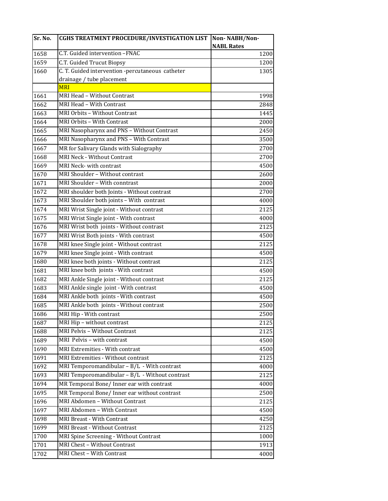| Sr. No.      | CGHS TREATMENT PROCEDURE/INVESTIGATION LIST                  | Non-NABH/Non-     |
|--------------|--------------------------------------------------------------|-------------------|
|              |                                                              | <b>NABL Rates</b> |
| 1658         | C.T. Guided intervention -FNAC                               | 1200              |
| 1659         | C.T. Guided Trucut Biopsy                                    | 1200              |
| 1660         | C. T. Guided intervention -percutaneous catheter             | 1305              |
|              | drainage / tube placement<br><b>MRI</b>                      |                   |
|              | MRI Head - Without Contrast                                  |                   |
| 1661<br>1662 | MRI Head - With Contrast                                     | 1998<br>2848      |
| 1663         | MRI Orbits - Without Contrast                                | 1445              |
| 1664         | MRI Orbits - With Contrast                                   |                   |
|              | MRI Nasopharynx and PNS - Without Contrast                   | 2000              |
| 1665         | MRI Nasopharynx and PNS - With Contrast                      | 2450              |
| 1666         |                                                              | 3500              |
| 1667         | MR for Salivary Glands with Sialography                      | 2700              |
| 1668<br>1669 | <b>MRI Neck - Without Contrast</b><br>MRI Neck-with contrast | 2700<br>4500      |
|              | MRI Shoulder - Without contrast                              |                   |
| 1670         | MRI Shoulder - With conntrast                                | 2600              |
| 1671         |                                                              | 2000              |
| 1672         | MRI shoulder both Joints - Without contrast                  | 2700              |
| 1673         | MRI Shoulder both joints - With contrast                     | 4000              |
| 1674         | MRI Wrist Single joint - Without contrast                    | 2125              |
| 1675         | MRI Wrist Single joint - With contrast                       | 4000              |
| 1676         | MRI Wrist both joints - Without contrast                     | 2125              |
| 1677         | MRI Wrist Both joints - With contrast                        | 4500              |
| 1678         | MRI knee Single joint - Without contrast                     | 2125              |
| 1679         | MRI knee Single joint - With contrast                        | 4500              |
| 1680         | MRI knee both joints - Without contrast                      | 2125              |
| 1681         | MRI knee both joints - With contrast                         | 4500              |
| 1682         | MRI Ankle Single joint - Without contrast                    | 2125              |
| 1683         | MRI Ankle single joint - With contrast                       | 4500              |
| 1684         | MRI Ankle both joints - With contrast                        | 4500              |
| 1685         | MRI Ankle both joints - Without contrast                     | 2500              |
| 1686         | MRI Hip - With contrast                                      | 2500              |
| 1687         | MRI Hip - without contrast                                   | 2125              |
| 1688         | MRI Pelvis - Without Contrast                                | 2125              |
| 1689         | MRI Pelvis - with contrast                                   | 4500              |
| 1690         | MRI Extremities - With contrast                              | 4500              |
| 1691         | MRI Extremities - Without contrast                           | 2125              |
| 1692         | MRI Temporomandibular - B/L - With contrast                  | 4000              |
| 1693         | MRI Temporomandibular - B/L - Without contrast               | 2125              |
| 1694         | MR Temporal Bone/ Inner ear with contrast                    | 4000              |
| 1695         | MR Temporal Bone/ Inner ear without contrast                 | 2500              |
| 1696         | MRI Abdomen - Without Contrast                               | 2125              |
| 1697         | MRI Abdomen - With Contrast                                  | 4500              |
| 1698         | MRI Breast - With Contrast                                   | 4250              |
| 1699         | MRI Breast - Without Contrast                                | 2125              |
| 1700         | MRI Spine Screening - Without Contrast                       | 1000              |
| 1701         | MRI Chest - Without Contrast                                 | 1913              |
| 1702         | MRI Chest - With Contrast                                    | 4000              |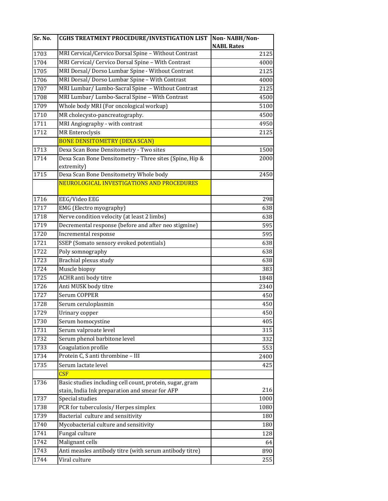| Sr. No. | <b>CGHS TREATMENT PROCEDURE/INVESTIGATION LIST</b>       | Non-NABH/Non-     |
|---------|----------------------------------------------------------|-------------------|
|         |                                                          | <b>NABL Rates</b> |
| 1703    | MRI Cervical/Cervico Dorsal Spine - Without Contrast     | 2125              |
| 1704    | MRI Cervical/ Cervico Dorsal Spine - With Contrast       | 4000              |
| 1705    | MRI Dorsal/ Dorso Lumbar Spine - Without Contrast        | 2125              |
| 1706    | MRI Dorsal/ Dorso Lumbar Spine - With Contrast           | 4000              |
| 1707    | MRI Lumbar/ Lumbo-Sacral Spine - Without Contrast        | 2125              |
| 1708    | MRI Lumbar/ Lumbo-Sacral Spine - With Contrast           | 4500              |
| 1709    | Whole body MRI (For oncological workup)                  | 5100              |
| 1710    | MR cholecysto-pancreatography.                           | 4500              |
| 1711    | MRI Angiography - with contrast                          | 4950              |
| 1712    | <b>MR</b> Enteroclysis                                   | 2125              |
|         | <b>BONE DENSITOMETRY (DEXA SCAN)</b>                     |                   |
| 1713    | Dexa Scan Bone Densitometry - Two sites                  | 1500              |
| 1714    | Dexa Scan Bone Densitometry - Three sites (Spine, Hip &  | 2000              |
|         | extremity)                                               |                   |
| 1715    | Dexa Scan Bone Densitometry Whole body                   | 2450              |
|         | NEUROLOGICAL INVESTIGATIONS AND PROCEDURES               |                   |
| 1716    | EEG/Video EEG                                            | 298               |
| 1717    | EMG (Electro myography)                                  | 638               |
| 1718    | Nerve condition velocity (at least 2 limbs)              | 638               |
| 1719    | Decremental response (before and after neo stigmine)     | 595               |
| 1720    | Incremental response                                     | 595               |
| 1721    | SSEP (Somato sensory evoked potentials)                  | 638               |
| 1722    | Poly somnography                                         | 638               |
| 1723    | Brachial plexus study                                    | 638               |
| 1724    | Muscle biopsy                                            | 383               |
| 1725    | ACHR anti body titre                                     | 1848              |
| 1726    | Anti MUSK body titre                                     | 2340              |
| 1727    | Serum COPPER                                             | 450               |
| 1728    | Serum ceruloplasmin                                      | 450               |
| 1729    | Urinary copper                                           | 450               |
| 1730    | Serum homocystine                                        | 405               |
| 1731    | Serum valproate level                                    | 315               |
| 1732    | Serum phenol barbitone level                             | 332               |
| 1733    | Coagulation profile                                      | 553               |
| 1734    | Protein C, S anti thrombine - III                        | 2400              |
| 1735    | Serum lactate level                                      | 425               |
|         | CSE                                                      |                   |
| 1736    | Basic studies including cell count, protein, sugar, gram |                   |
|         | stain, India Ink preparation and smear for AFP           | 216               |
| 1737    | Special studies                                          | 1000              |
| 1738    | PCR for tuberculosis/ Herpes simplex                     | 1080              |
| 1739    | Bacterial culture and sensitivity                        | 180               |
| 1740    | Mycobacterial culture and sensitivity                    | 180               |
| 1741    | Fungal culture                                           | 128               |
| 1742    | Malignant cells                                          | 64                |
| 1743    | Anti measles antibody titre (with serum antibody titre)  | 890               |
| 1744    | Viral culture                                            | 255               |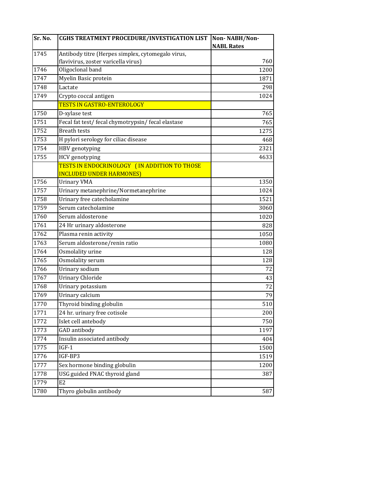| Sr. No. | <b>CGHS TREATMENT PROCEDURE/INVESTIGATION LIST</b> | Non-NABH/Non-     |
|---------|----------------------------------------------------|-------------------|
|         |                                                    | <b>NABL Rates</b> |
| 1745    | Antibody titre (Herpes simplex, cytomegalo virus,  |                   |
|         | flavivirus, zoster varicella virus)                | 760               |
| 1746    | Oligoclonal band                                   | 1200              |
| 1747    | Myelin Basic protein                               | 1871              |
| 1748    | Lactate                                            | 298               |
| 1749    | Crypto coccal antigen                              | 1024              |
|         | <b>TESTS IN GASTRO-ENTEROLOGY</b>                  |                   |
| 1750    | D-xylase test                                      | 765               |
| 1751    | Fecal fat test/ fecal chymotrypsin/ fecal elastase | 765               |
| 1752    | <b>Breath tests</b>                                | 1275              |
| 1753    | H pylori serology for ciliac disease               | 468               |
| 1754    | HBV genotyping                                     | 2321              |
| 1755    | HCV genotyping                                     | 4633              |
|         | TESTS IN ENDOCRINOLOGY (IN ADDITION TO THOSE       |                   |
|         | <b>INCLUDED UNDER HARMONES)</b>                    |                   |
| 1756    | <b>Urinary VMA</b>                                 | 1350              |
| 1757    | Urinary metanephrine/Normetanephrine               | 1024              |
| 1758    | Urinary free catecholamine                         | 1521              |
| 1759    | Serum catecholamine                                | 3060              |
| 1760    | Serum aldosterone                                  | 1020              |
| 1761    | 24 Hr urinary aldosterone                          | 828               |
| 1762    | Plasma renin activity                              | 1050              |
| 1763    | Serum aldosterone/renin ratio                      | 1080              |
| 1764    | Osmolality urine                                   | 128               |
| 1765    | Osmolality serum                                   | 128               |
| 1766    | Urinary sodium                                     | 72                |
| 1767    | <b>Urinary Chloride</b>                            | 43                |
| 1768    | Urinary potassium                                  | 72                |
| 1769    | Urinary calcium                                    | 79                |
| 1770    | Thyroid binding globulin                           | 510               |
| 1771    | 24 hr. urinary free cotisole                       | 200               |
| 1772    | Islet cell antebody                                | 750               |
| 1773    | <b>GAD</b> antibody                                | 1197              |
| 1774    | Insulin associated antibody                        | 404               |
| 1775    | $IGF-1$                                            | 1500              |
| 1776    | IGF-BP3                                            | 1519              |
| 1777    | Sex hormone binding globulin                       | 1200              |
| 1778    | USG guided FNAC thyroid gland                      | 387               |
| 1779    | E <sub>2</sub>                                     |                   |
| 1780    | Thyro globulin antibody                            | 587               |